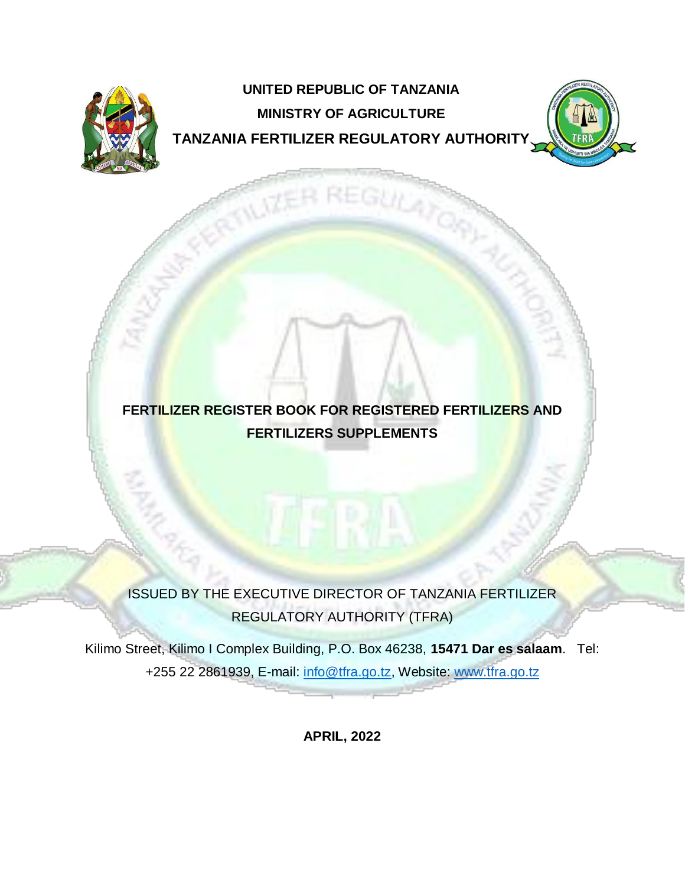

# **UNITED REPUBLIC OF TANZANIA MINISTRY OF AGRICULTURE TANZANIA FERTILIZER REGULATORY AUTHORITY**



## **FERTILIZER REGISTER BOOK FOR REGISTERED FERTILIZERS AND FERTILIZERS SUPPLEMENTS**

ISSUED BY THE EXECUTIVE DIRECTOR OF TANZANIA FERTILIZER REGULATORY AUTHORITY (TFRA)

Kilimo Street, Kilimo I Complex Building, P.O. Box 46238, **15471 Dar es salaam**. Tel: +255 22 2861939, E-mail: info@tfra.go.tz, Website: [www.tfra.go.tz](http://www.tfra.go.tz/)

**APRIL, 2022**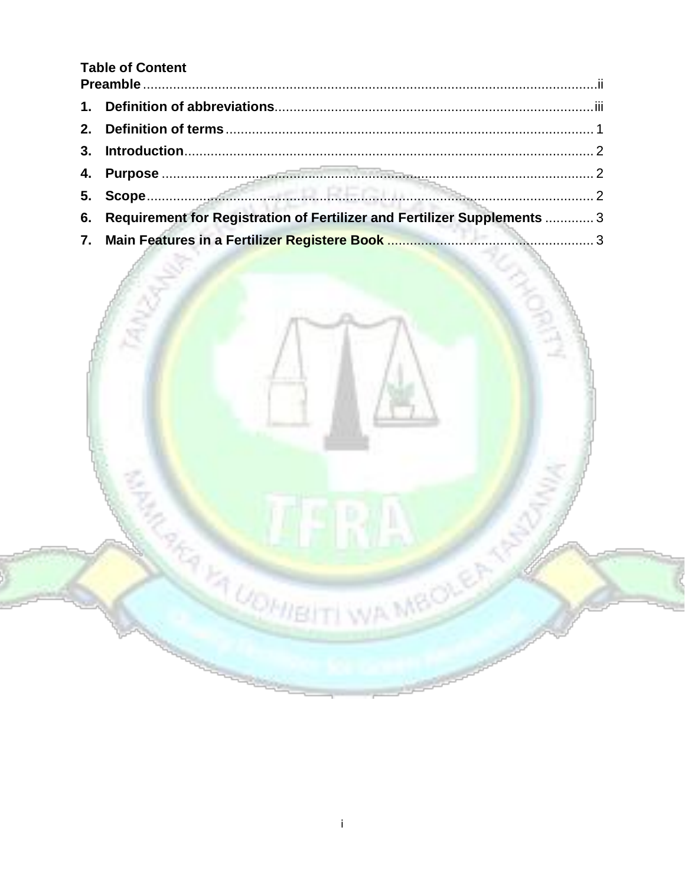## **Table of Content**

| 6. Requirement for Registration of Fertilizer and Fertilizer Supplements  3 |  |
|-----------------------------------------------------------------------------|--|
|                                                                             |  |



**REAL PROPERTY WA MBOLE**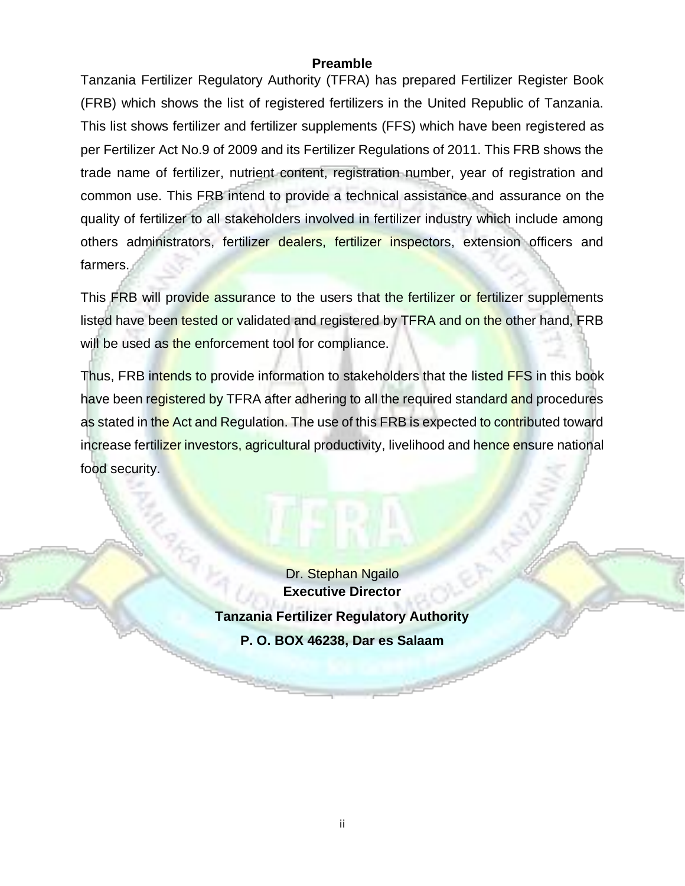#### **Preamble**

<span id="page-2-0"></span>Tanzania Fertilizer Regulatory Authority (TFRA) has prepared Fertilizer Register Book (FRB) which shows the list of registered fertilizers in the United Republic of Tanzania. This list shows fertilizer and fertilizer supplements (FFS) which have been registered as per Fertilizer Act No.9 of 2009 and its Fertilizer Regulations of 2011. This FRB shows the trade name of fertilizer, nutrient content, registration number, year of registration and common use. This FRB intend to provide a technical assistance and assurance on the quality of fertilizer to all stakeholders involved in fertilizer industry which include among others administrators, fertilizer dealers, fertilizer inspectors, extension officers and farmers.

This FRB will provide assurance to the users that the fertilizer or fertilizer supplements listed have been tested or validated and registered by TFRA and on the other hand, FRB will be used as the enforcement tool for compliance.

Thus, FRB intends to provide information to stakeholders that the listed FFS in this book have been registered by TFRA after adhering to all the required standard and procedures as stated in the Act and Regulation. The use of this FRB is expected to contributed toward increase fertilizer investors, agricultural productivity, livelihood and hence ensure national food security.

> Dr. Stephan Ngailo **Executive Director Tanzania Fertilizer Regulatory Authority P. O. BOX 46238, Dar es Salaam**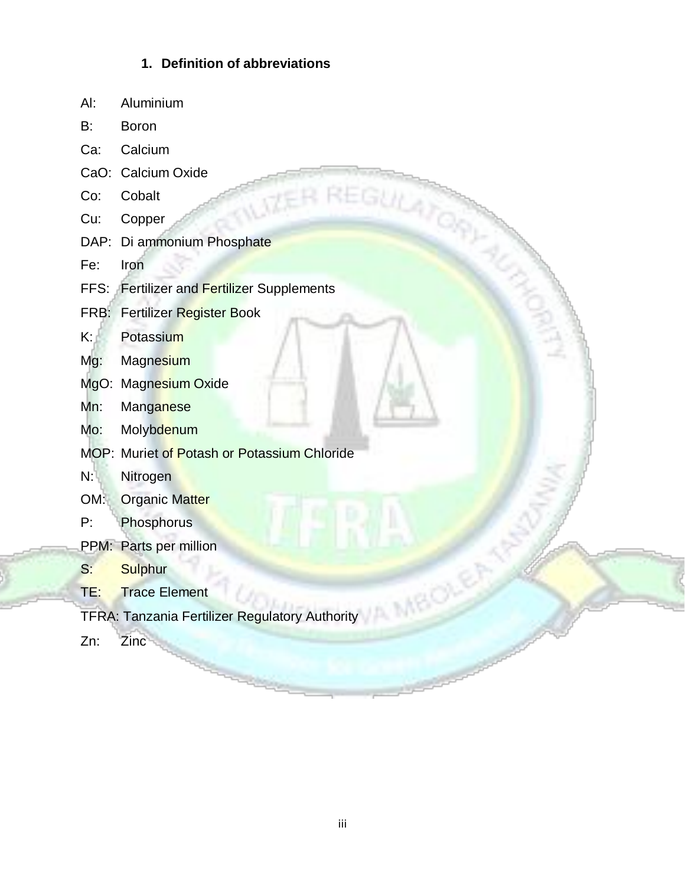### **1. Definition of abbreviations**

- <span id="page-3-0"></span>Al: Aluminium
- B: Boron
- Ca: Calcium
- CaO: Calcium Oxide
- Co: Cobalt
- Cu: Copper
- DAP: Di ammonium Phosphate
- Fe: Iron
- CaO: Calcium Oxide<br>
Co: Cobalt<br>
Cu: Copper<br>
DAP: Di ammonium Phosphate<br>
Fe: Iron<br>
FFS: Fertilizer and Fertilizer Supplements
- FRB: Fertilizer Register Book
- K: Potassium
- Mg: Magnesium
- MgO: Magnesium Oxide
- Mn: Manganese
- Mo: Molybdenum
- MOP: Muriet of Potash or Potassium Chloride
- N: Nitrogen
- OM: Organic Matter
- P: Phosphorus
- PPM: Parts per million
- S: Sulphur
- TE: Trace Element
- TFRA: Tanzania Fertilizer Regulatory Authority
- Zn: Zinc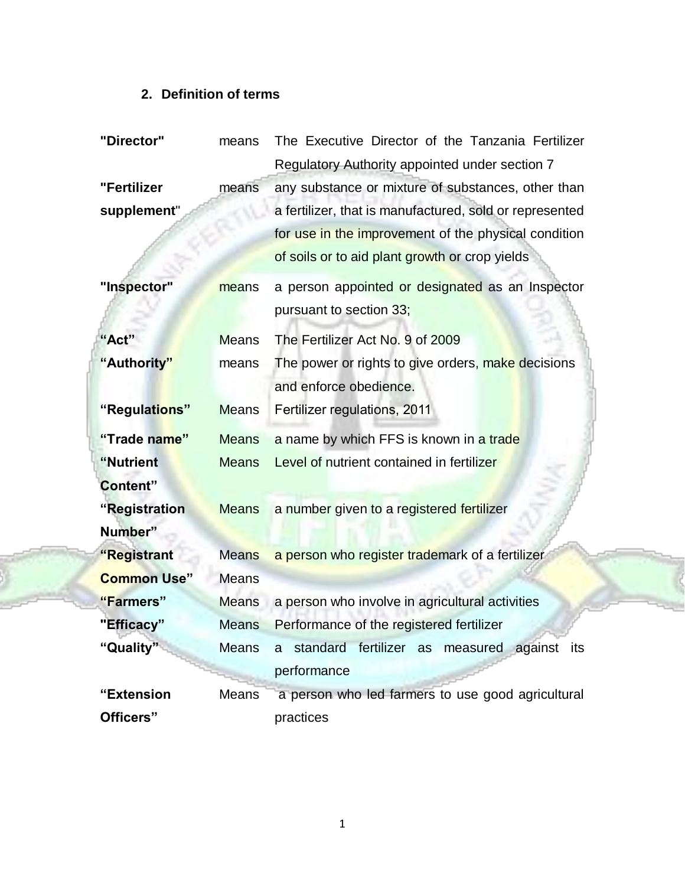## **2. Definition of terms**

<span id="page-4-0"></span>

| The Executive Director of the Tanzania Fertilizer<br>"Director"<br>means |              |                                                         |
|--------------------------------------------------------------------------|--------------|---------------------------------------------------------|
|                                                                          |              | Regulatory Authority appointed under section 7          |
| "Fertilizer                                                              | means        | any substance or mixture of substances, other than      |
| supplement"                                                              |              | a fertilizer, that is manufactured, sold or represented |
|                                                                          |              | for use in the improvement of the physical condition    |
|                                                                          |              | of soils or to aid plant growth or crop yields          |
| "Inspector"                                                              | means        | a person appointed or designated as an Inspector        |
|                                                                          |              | pursuant to section 33;                                 |
| "Act"                                                                    | <b>Means</b> | The Fertilizer Act No. 9 of 2009                        |
| "Authority"                                                              | means        | The power or rights to give orders, make decisions      |
|                                                                          |              | and enforce obedience.                                  |
| "Regulations"                                                            | <b>Means</b> | Fertilizer regulations, 2011                            |
| "Trade name"                                                             | <b>Means</b> | a name by which FFS is known in a trade                 |
| "Nutrient                                                                | <b>Means</b> | Level of nutrient contained in fertilizer               |
| Content"                                                                 |              |                                                         |
| "Registration                                                            | <b>Means</b> | a number given to a registered fertilizer               |
| Number"                                                                  |              |                                                         |
| "Registrant                                                              | <b>Means</b> | a person who register trademark of a fertilizer         |
| <b>Common Use"</b>                                                       | <b>Means</b> |                                                         |
| "Farmers"                                                                | <b>Means</b> | a person who involve in agricultural activities         |
| "Efficacy"                                                               | <b>Means</b> | Performance of the registered fertilizer                |
| "Quality"                                                                | <b>Means</b> | a standard fertilizer as measured against its           |
|                                                                          |              | performance                                             |
| "Extension                                                               | <b>Means</b> | a person who led farmers to use good agricultural       |
| Officers"                                                                |              | practices                                               |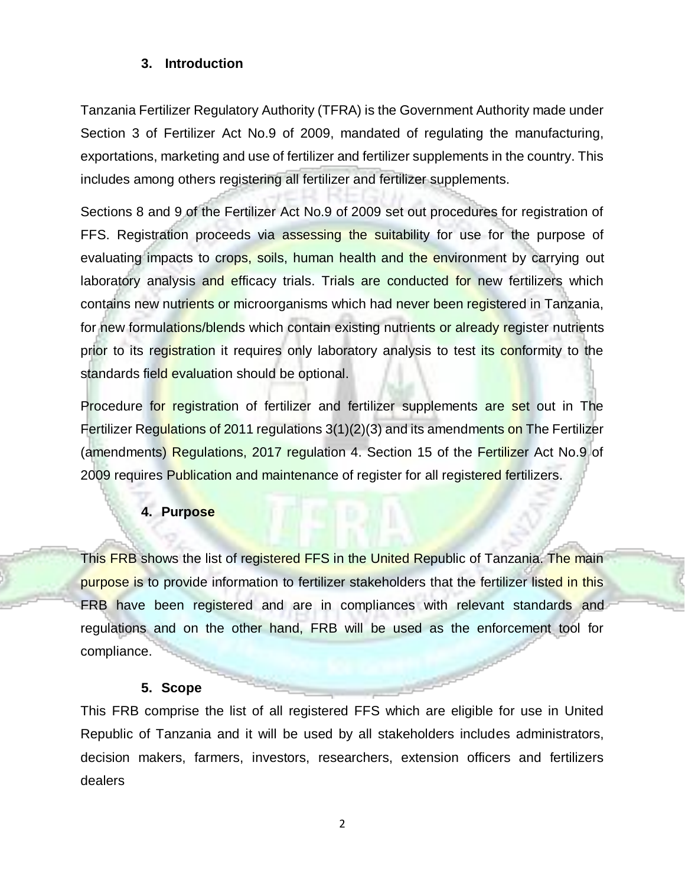#### <span id="page-5-0"></span>**3. Introduction**

Tanzania Fertilizer Regulatory Authority (TFRA) is the Government Authority made under Section 3 of Fertilizer Act No.9 of 2009, mandated of regulating the manufacturing, exportations, marketing and use of fertilizer and fertilizer supplements in the country. This includes among others registering all fertilizer and fertilizer supplements.

Sections 8 and 9 of the Fertilizer Act No.9 of 2009 set out procedures for registration of FFS. Registration proceeds via assessing the suitability for use for the purpose of evaluating impacts to crops, soils, human health and the environment by carrying out laboratory analysis and efficacy trials. Trials are conducted for new fertilizers which contains new nutrients or microorganisms which had never been registered in Tanzania, for new formulations/blends which contain existing nutrients or already register nutrients prior to its registration it requires only laboratory analysis to test its conformity to the standards field evaluation should be optional.

Procedure for registration of fertilizer and fertilizer supplements are set out in The Fertilizer Regulations of 2011 regulations 3(1)(2)(3) and its amendments on The Fertilizer (amendments) Regulations, 2017 regulation 4. Section 15 of the Fertilizer Act No.9 of 2009 requires Publication and maintenance of register for all registered fertilizers.

#### **4. Purpose**

<span id="page-5-1"></span>This FRB shows the list of registered FFS in the United Republic of Tanzania. The main purpose is to provide information to fertilizer stakeholders that the fertilizer listed in this FRB have been registered and are in compliances with relevant standards and regulations and on the other hand, FRB will be used as the enforcement tool for compliance.

#### **5. Scope**

<span id="page-5-2"></span>This FRB comprise the list of all registered FFS which are eligible for use in United Republic of Tanzania and it will be used by all stakeholders includes administrators, decision makers, farmers, investors, researchers, extension officers and fertilizers dealers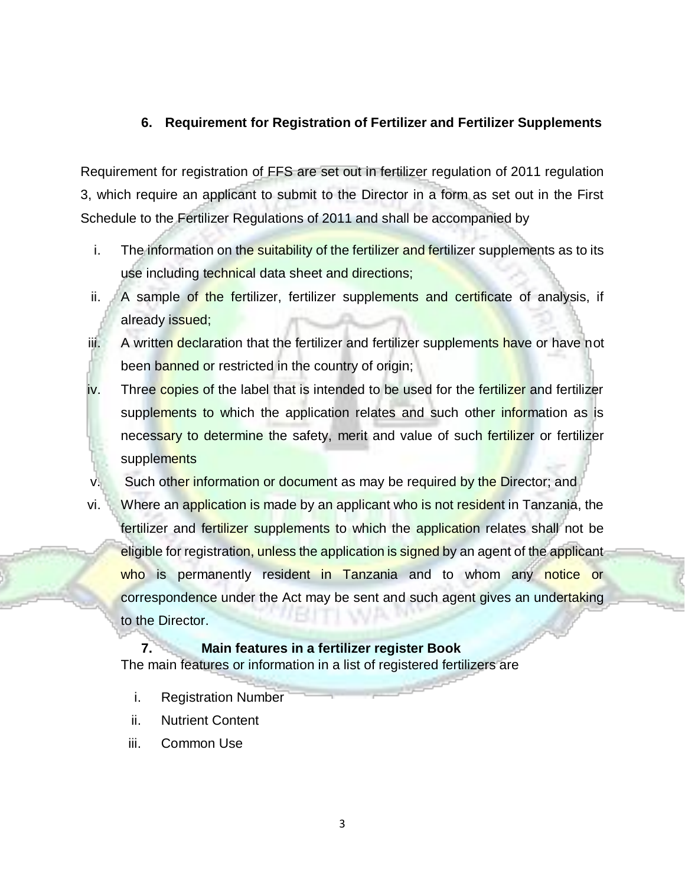#### <span id="page-6-0"></span>**6. Requirement for Registration of Fertilizer and Fertilizer Supplements**

Requirement for registration of FFS are set out in fertilizer regulation of 2011 regulation 3, which require an applicant to submit to the Director in a form as set out in the First Schedule to the Fertilizer Regulations of 2011 and shall be accompanied by

- i. The information on the suitability of the fertilizer and fertilizer supplements as to its use including technical data sheet and directions;
- ii. A sample of the fertilizer, fertilizer supplements and certificate of analysis, if already issued;
- iii. A written declaration that the fertilizer and fertilizer supplements have or have not been banned or restricted in the country of origin;
- iv. Three copies of the label that is intended to be used for the fertilizer and fertilizer supplements to which the application relates and such other information as is necessary to determine the safety, merit and value of such fertilizer or fertilizer supplements
- v. Such other information or document as may be required by the Director; and
- vi. Where an application is made by an applicant who is not resident in Tanzania, the fertilizer and fertilizer supplements to which the application relates shall not be eligible for registration, unless the application is signed by an agent of the applicant who is permanently resident in Tanzania and to whom any notice or correspondence under the Act may be sent and such agent gives an undertaking to the Director.

#### <span id="page-6-1"></span>**7. Main features in a fertilizer register Book**

The main features or information in a list of registered fertilizers are

- i. Registration Number
- ii. Nutrient Content
- iii. Common Use

3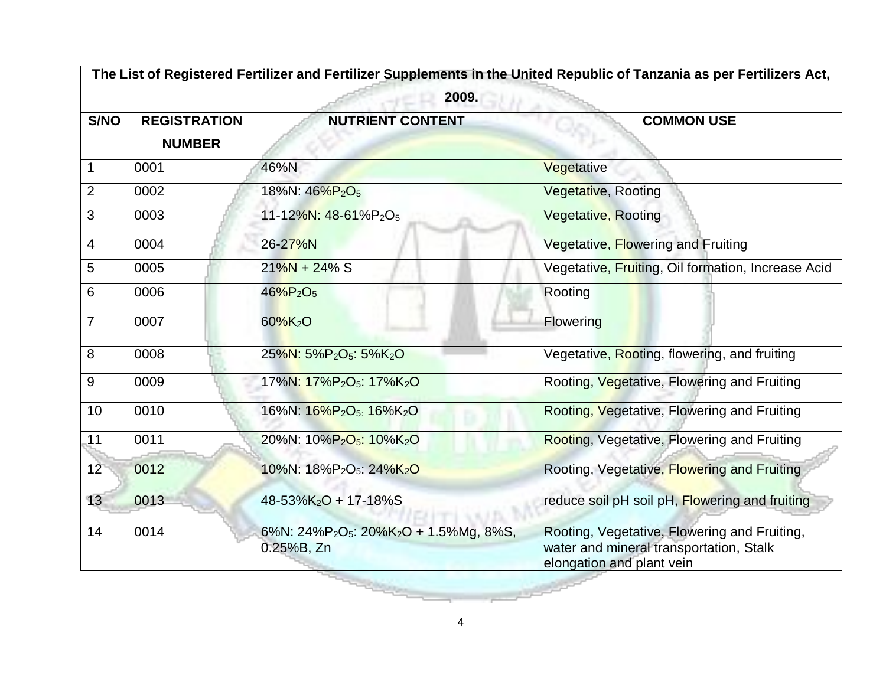|                | The List of Registered Fertilizer and Fertilizer Supplements in the United Republic of Tanzania as per Fertilizers Act, |                                                                                          |                                                                                                                      |  |  |
|----------------|-------------------------------------------------------------------------------------------------------------------------|------------------------------------------------------------------------------------------|----------------------------------------------------------------------------------------------------------------------|--|--|
|                | 2009.                                                                                                                   |                                                                                          |                                                                                                                      |  |  |
| S/NO           | <b>REGISTRATION</b>                                                                                                     | <b>NUTRIENT CONTENT</b>                                                                  | <b>COMMON USE</b>                                                                                                    |  |  |
|                | <b>NUMBER</b>                                                                                                           |                                                                                          |                                                                                                                      |  |  |
| 1              | 0001                                                                                                                    | 46%N                                                                                     | Vegetative                                                                                                           |  |  |
| $\overline{2}$ | 0002                                                                                                                    | 18%N: 46%P <sub>2</sub> O <sub>5</sub>                                                   | Vegetative, Rooting                                                                                                  |  |  |
| 3              | 0003                                                                                                                    | 11-12%N: 48-61%P <sub>2</sub> O <sub>5</sub>                                             | <b>Vegetative, Rooting</b>                                                                                           |  |  |
| 4              | 0004                                                                                                                    | 26-27%N                                                                                  | Vegetative, Flowering and Fruiting                                                                                   |  |  |
| 5              | 0005                                                                                                                    | $21\%N + 24\%S$                                                                          | Vegetative, Fruiting, Oil formation, Increase Acid                                                                   |  |  |
| 6              | 0006                                                                                                                    | $46\%P_2O_5$                                                                             | Rooting                                                                                                              |  |  |
| $\overline{7}$ | 0007                                                                                                                    | $60\%K_{2}O$                                                                             | Flowering                                                                                                            |  |  |
| 8              | 0008                                                                                                                    | 25%N: 5%P <sub>2</sub> O <sub>5</sub> : 5%K <sub>2</sub> O                               | Vegetative, Rooting, flowering, and fruiting                                                                         |  |  |
| $9\,$          | 0009                                                                                                                    | 17%N: 17%P <sub>2</sub> O <sub>5</sub> : 17%K <sub>2</sub> O                             | Rooting, Vegetative, Flowering and Fruiting                                                                          |  |  |
| 10             | 0010                                                                                                                    | 16%N: 16%P <sub>2</sub> O <sub>5:</sub> 16%K <sub>2</sub> O                              | Rooting, Vegetative, Flowering and Fruiting                                                                          |  |  |
| 11             | 0011                                                                                                                    | 20%N: 10%P <sub>2</sub> O <sub>5</sub> : 10%K <sub>2</sub> O                             | Rooting, Vegetative, Flowering and Fruiting                                                                          |  |  |
| 12             | 0012                                                                                                                    | 10%N: 18%P <sub>2</sub> O <sub>5</sub> : 24%K <sub>2</sub> O                             | Rooting, Vegetative, Flowering and Fruiting                                                                          |  |  |
| 13             | 0013                                                                                                                    | 48-53%K <sub>2</sub> O + 17-18%S                                                         | reduce soil pH soil pH, Flowering and fruiting                                                                       |  |  |
| 14             | 0014                                                                                                                    | 6%N: 24%P <sub>2</sub> O <sub>5</sub> : 20%K <sub>2</sub> O + 1.5%Mg, 8%S,<br>0.25%B, Zn | Rooting, Vegetative, Flowering and Fruiting,<br>water and mineral transportation, Stalk<br>elongation and plant vein |  |  |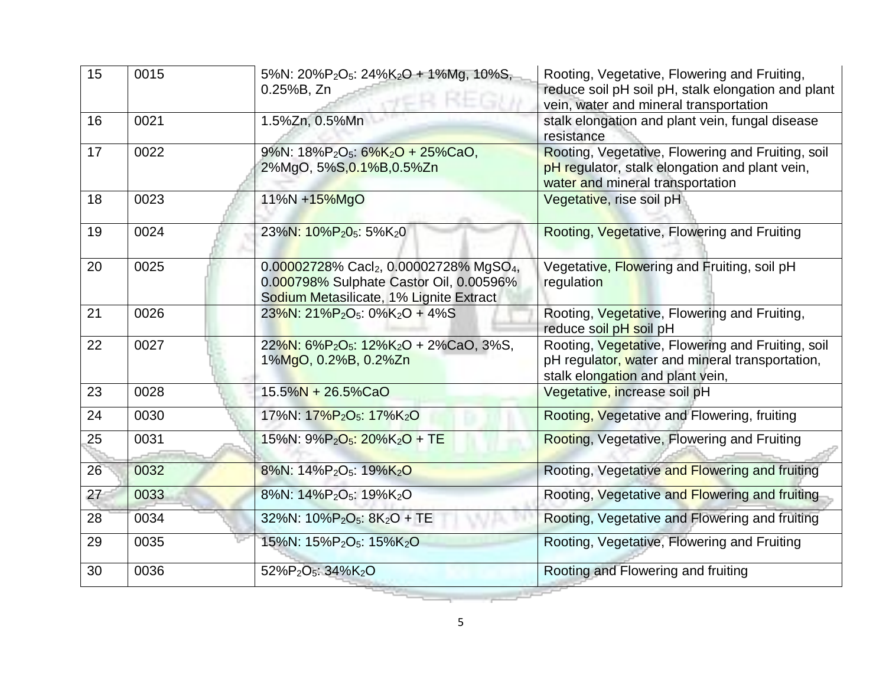| 15 | 0015 | 5%N: 20%P <sub>2</sub> O <sub>5</sub> : 24%K <sub>2</sub> O + 1%Mg, 10%S,<br>0.25%B, Zn                                                  | Rooting, Vegetative, Flowering and Fruiting,<br>reduce soil pH soil pH, stalk elongation and plant<br>vein, water and mineral transportation |
|----|------|------------------------------------------------------------------------------------------------------------------------------------------|----------------------------------------------------------------------------------------------------------------------------------------------|
| 16 | 0021 | 1.5%Zn, 0.5%Mn                                                                                                                           | stalk elongation and plant vein, fungal disease<br>resistance                                                                                |
| 17 | 0022 | 9%N: 18%P <sub>2</sub> O <sub>5</sub> : 6%K <sub>2</sub> O + 25%CaO,<br>2%MgO, 5%S, 0.1%B, 0.5%Zn                                        | Rooting, Vegetative, Flowering and Fruiting, soil<br>pH regulator, stalk elongation and plant vein,<br>water and mineral transportation      |
| 18 | 0023 | 11%N +15%MgO                                                                                                                             | Vegetative, rise soil pH                                                                                                                     |
| 19 | 0024 | 23%N: 10%P <sub>2</sub> 0 <sub>5</sub> : 5%K <sub>2</sub> 0                                                                              | Rooting, Vegetative, Flowering and Fruiting                                                                                                  |
| 20 | 0025 | 0.00002728% Cacl2, 0.00002728% MgSO <sub>4</sub> ,<br>0.000798% Sulphate Castor Oil, 0.00596%<br>Sodium Metasilicate, 1% Lignite Extract | Vegetative, Flowering and Fruiting, soil pH<br>regulation                                                                                    |
| 21 | 0026 | $23\%$ N: $21\%$ P <sub>2</sub> O <sub>5</sub> : 0%K <sub>2</sub> O + 4%S                                                                | Rooting, Vegetative, Flowering and Fruiting,<br>reduce soil pH soil pH                                                                       |
| 22 | 0027 | 22%N: 6%P <sub>2</sub> O <sub>5</sub> : 12%K <sub>2</sub> O + 2%CaO, 3%S,<br>1%MgO, 0.2%B, 0.2%Zn                                        | Rooting, Vegetative, Flowering and Fruiting, soil<br>pH regulator, water and mineral transportation,<br>stalk elongation and plant vein,     |
| 23 | 0028 | 15.5%N + 26.5%CaO                                                                                                                        | Vegetative, increase soil pH                                                                                                                 |
| 24 | 0030 | 17%N: 17%P <sub>2</sub> O <sub>5</sub> : 17%K <sub>2</sub> O                                                                             | Rooting, Vegetative and Flowering, fruiting                                                                                                  |
| 25 | 0031 | 15%N: 9%P <sub>2</sub> O <sub>5</sub> : 20%K <sub>2</sub> O + TE                                                                         | Rooting, Vegetative, Flowering and Fruiting                                                                                                  |
| 26 | 0032 | 8%N: 14%P <sub>2</sub> O <sub>5</sub> : 19%K <sub>2</sub> O                                                                              | Rooting, Vegetative and Flowering and fruiting                                                                                               |
| 27 | 0033 | 8%N: 14%P <sub>2</sub> O <sub>5</sub> : 19%K <sub>2</sub> O                                                                              | Rooting, Vegetative and Flowering and fruiting                                                                                               |
| 28 | 0034 | 32%N: 10%P <sub>2</sub> O <sub>5</sub> : 8K <sub>2</sub> O + TE                                                                          | Rooting, Vegetative and Flowering and fruiting                                                                                               |
| 29 | 0035 | 15%N: 15%P <sub>2</sub> O <sub>5</sub> : 15%K <sub>2</sub> O                                                                             | Rooting, Vegetative, Flowering and Fruiting                                                                                                  |
| 30 | 0036 | 52%P <sub>2</sub> O <sub>5</sub> : 34%K <sub>2</sub> O                                                                                   | Rooting and Flowering and fruiting                                                                                                           |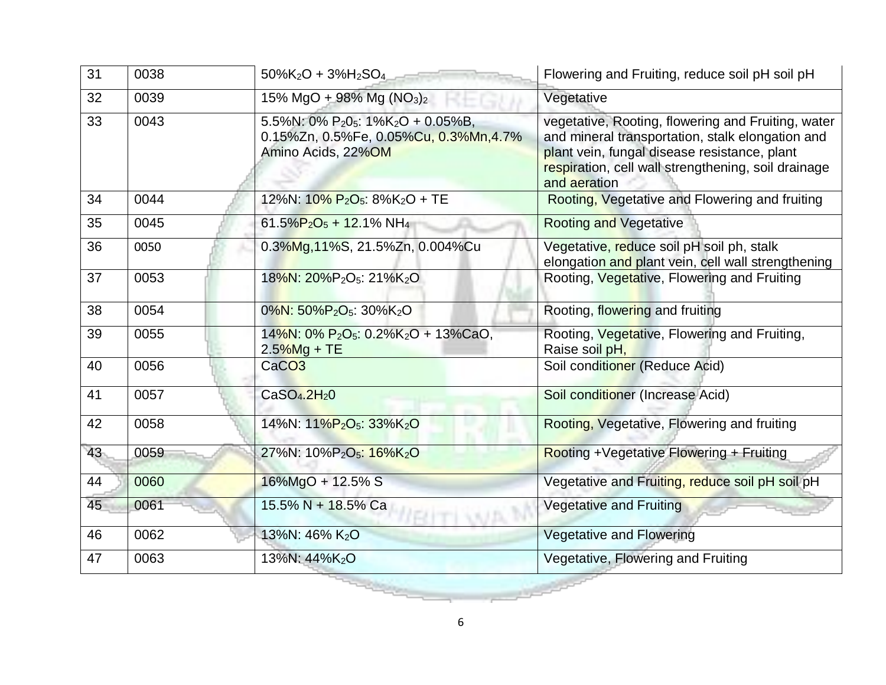| 31              | 0038 | $50\%K_2O + 3\%H_2SO_4$                                                                                           | Flowering and Fruiting, reduce soil pH soil pH                                                                                                                                                                                |
|-----------------|------|-------------------------------------------------------------------------------------------------------------------|-------------------------------------------------------------------------------------------------------------------------------------------------------------------------------------------------------------------------------|
| 32              | 0039 | 15% MgO + 98% Mg (NO <sub>3</sub> ) <sub>2</sub>                                                                  | Vegetative                                                                                                                                                                                                                    |
| $\overline{33}$ | 0043 | 5.5%N: 0% $P_2O_5$ : 1%K <sub>2</sub> O + 0.05%B,<br>0.15%Zn, 0.5%Fe, 0.05%Cu, 0.3%Mn, 4.7%<br>Amino Acids, 22%OM | vegetative, Rooting, flowering and Fruiting, water<br>and mineral transportation, stalk elongation and<br>plant vein, fungal disease resistance, plant<br>respiration, cell wall strengthening, soil drainage<br>and aeration |
| 34              | 0044 | 12%N: $10\% P_2O_5$ : 8%K <sub>2</sub> O + TE                                                                     | Rooting, Vegetative and Flowering and fruiting                                                                                                                                                                                |
| 35              | 0045 | $61.5\%P_2O_5 + 12.1\%NH_4$                                                                                       | <b>Rooting and Vegetative</b>                                                                                                                                                                                                 |
| 36              | 0050 | 0.3%Mg, 11%S, 21.5%Zn, 0.004%Cu                                                                                   | Vegetative, reduce soil pH soil ph, stalk<br>elongation and plant vein, cell wall strengthening                                                                                                                               |
| 37              | 0053 | 18%N: 20%P <sub>2</sub> O <sub>5</sub> : 21%K <sub>2</sub> O                                                      | Rooting, Vegetative, Flowering and Fruiting                                                                                                                                                                                   |
| 38              | 0054 | $0\%$ N: 50%P <sub>2</sub> O <sub>5</sub> : 30%K <sub>2</sub> O                                                   | Rooting, flowering and fruiting                                                                                                                                                                                               |
| 39              | 0055 | $14\%$ N: 0% P <sub>2</sub> O <sub>5</sub> : 0.2%K <sub>2</sub> O + 13%CaO,<br>2.5%Mg + TE                        | Rooting, Vegetative, Flowering and Fruiting,<br>Raise soil pH,                                                                                                                                                                |
| 40              | 0056 | CaCO <sub>3</sub>                                                                                                 | Soil conditioner (Reduce Acid)                                                                                                                                                                                                |
| 41              | 0057 | CaSO <sub>4</sub> .2H <sub>2</sub> O                                                                              | Soil conditioner (Increase Acid)                                                                                                                                                                                              |
| 42              | 0058 | 14%N: 11%P <sub>2</sub> O <sub>5</sub> : 33%K <sub>2</sub> O                                                      | Rooting, Vegetative, Flowering and fruiting                                                                                                                                                                                   |
| 43              | 0059 | 27%N: 10%P <sub>2</sub> O <sub>5</sub> : 16%K <sub>2</sub> O                                                      | Rooting +Vegetative Flowering + Fruiting                                                                                                                                                                                      |
| 44              | 0060 | 16%MgO + 12.5% S                                                                                                  | Vegetative and Fruiting, reduce soil pH soil pH                                                                                                                                                                               |
| 45              | 0061 | 15.5% N + 18.5% Ca                                                                                                | <b>Vegetative and Fruiting</b>                                                                                                                                                                                                |
| 46              | 0062 | 13%N: 46% K <sub>2</sub> O                                                                                        | <b>Vegetative and Flowering</b>                                                                                                                                                                                               |
| 47              | 0063 | 13%N: 44%K <sub>2</sub> O                                                                                         | Vegetative, Flowering and Fruiting                                                                                                                                                                                            |
|                 |      |                                                                                                                   |                                                                                                                                                                                                                               |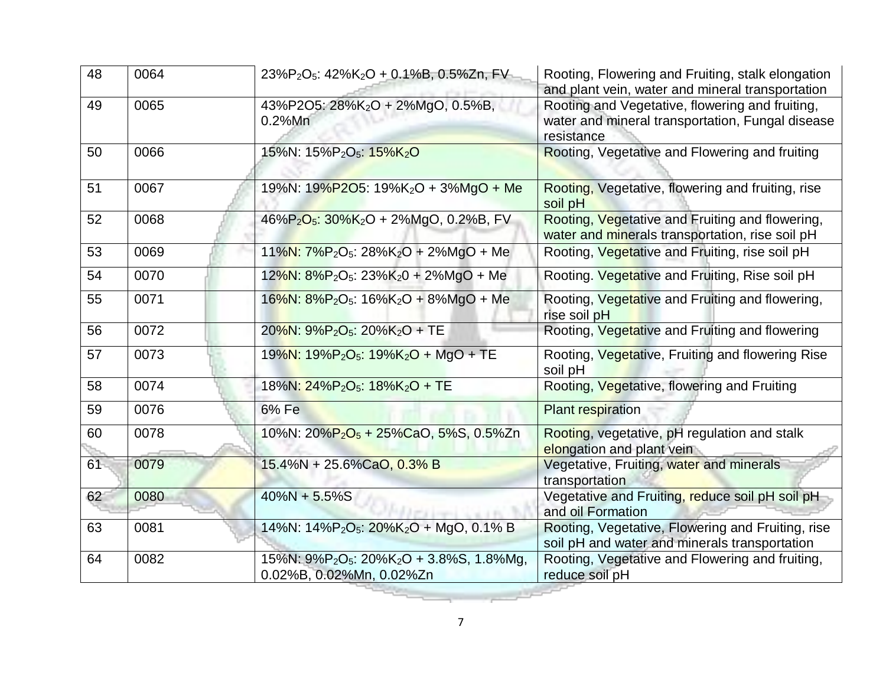| 48 | 0064 | 23%P <sub>2</sub> O <sub>5</sub> : 42%K <sub>2</sub> O + 0.1%B, 0.5%Zn, FV                               | Rooting, Flowering and Fruiting, stalk elongation<br>and plant vein, water and mineral transportation             |
|----|------|----------------------------------------------------------------------------------------------------------|-------------------------------------------------------------------------------------------------------------------|
| 49 | 0065 | 43%P2O5: 28%K2O + 2%MgO, 0.5%B,<br>$0.2%$ Mn                                                             | Rooting and Vegetative, flowering and fruiting,<br>water and mineral transportation, Fungal disease<br>resistance |
| 50 | 0066 | 15%N: 15%P <sub>2</sub> O <sub>5</sub> : 15%K <sub>2</sub> O                                             | Rooting, Vegetative and Flowering and fruiting                                                                    |
| 51 | 0067 | 19%N: 19%P2O5: 19%K <sub>2</sub> O + 3%MgO + Me                                                          | Rooting, Vegetative, flowering and fruiting, rise<br>soil pH                                                      |
| 52 | 0068 | 46%P <sub>2</sub> O <sub>5</sub> : 30%K <sub>2</sub> O + 2%MgO, 0.2%B, FV                                | Rooting, Vegetative and Fruiting and flowering,<br>water and minerals transportation, rise soil pH                |
| 53 | 0069 | 11%N: $7\%P_2O_5$ : 28%K <sub>2</sub> O + 2%MgO + Me                                                     | Rooting, Vegetative and Fruiting, rise soil pH                                                                    |
| 54 | 0070 | $12\%$ N: $8\%$ P <sub>2</sub> O <sub>5</sub> : $23\%$ K <sub>2</sub> 0 + 2%MgO + Me                     | Rooting. Vegetative and Fruiting, Rise soil pH                                                                    |
| 55 | 0071 | $16\%$ N: $8\%$ P <sub>2</sub> O <sub>5</sub> : $16\%$ K <sub>2</sub> O + 8%MgO + Me                     | Rooting, Vegetative and Fruiting and flowering,<br>rise soil pH                                                   |
| 56 | 0072 | $20\%$ N: $9\%$ P <sub>2</sub> O <sub>5</sub> : $20\%$ K <sub>2</sub> O + TE                             | Rooting, Vegetative and Fruiting and flowering                                                                    |
| 57 | 0073 | 19%N: 19%P <sub>2</sub> O <sub>5</sub> : 19%K <sub>2</sub> O + MgO + TE                                  | Rooting, Vegetative, Fruiting and flowering Rise<br>soil pH                                                       |
| 58 | 0074 | 18%N: $24\%P_2O_5$ : 18%K <sub>2</sub> O + TE                                                            | Rooting, Vegetative, flowering and Fruiting                                                                       |
| 59 | 0076 | 6% Fe                                                                                                    | <b>Plant respiration</b>                                                                                          |
| 60 | 0078 | 10%N: 20%P <sub>2</sub> O <sub>5</sub> + 25%CaO, 5%S, 0.5%Zn                                             | Rooting, vegetative, pH regulation and stalk<br>elongation and plant vein                                         |
| 61 | 0079 | 15.4%N + 25.6%CaO, 0.3% B                                                                                | Vegetative, Fruiting, water and minerals<br>transportation                                                        |
| 62 | 0080 | $40\%N + 5.5\%S$                                                                                         | Vegetative and Fruiting, reduce soil pH soil pH<br>and oil Formation                                              |
| 63 | 0081 | 14%N: 14%P <sub>2</sub> O <sub>5</sub> : 20%K <sub>2</sub> O + MgO, 0.1% B                               | Rooting, Vegetative, Flowering and Fruiting, rise<br>soil pH and water and minerals transportation                |
| 64 | 0082 | 15%N: 9%P <sub>2</sub> O <sub>5</sub> : 20%K <sub>2</sub> O + 3.8%S, 1.8%Mg,<br>0.02%B, 0.02%Mn, 0.02%Zn | Rooting, Vegetative and Flowering and fruiting,<br>reduce soil pH                                                 |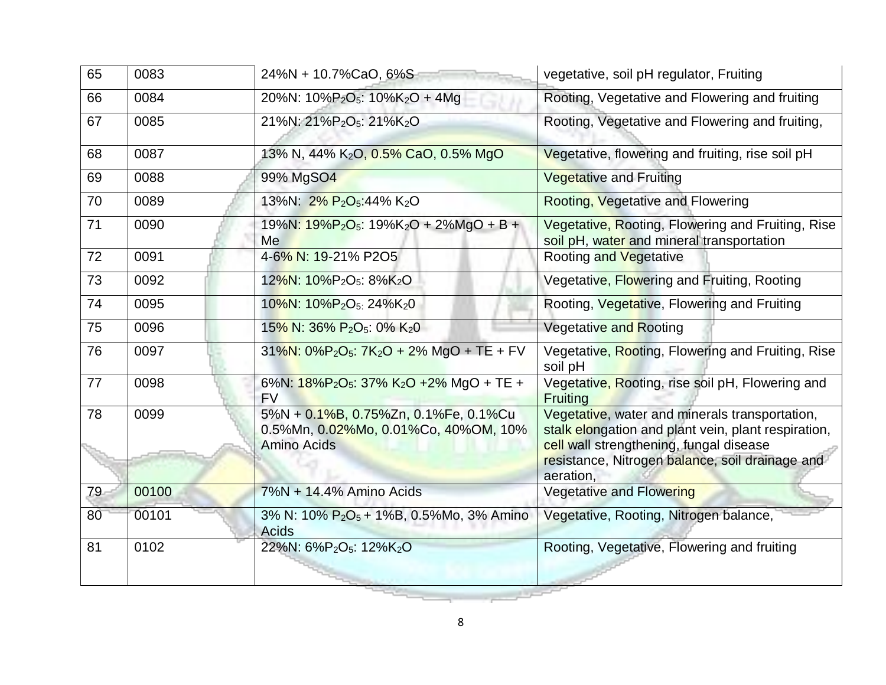| 65 | 0083  | 24%N + 10.7%CaO, 6%S                                                                               | vegetative, soil pH regulator, Fruiting                                                                                                                                                                          |
|----|-------|----------------------------------------------------------------------------------------------------|------------------------------------------------------------------------------------------------------------------------------------------------------------------------------------------------------------------|
| 66 | 0084  | 20%N: $10\%P_2O_5$ : $10\%K_2O + 4Mq$                                                              | Rooting, Vegetative and Flowering and fruiting                                                                                                                                                                   |
| 67 | 0085  | 21%N: 21%P <sub>2</sub> O <sub>5</sub> : 21%K <sub>2</sub> O                                       | Rooting, Vegetative and Flowering and fruiting,                                                                                                                                                                  |
| 68 | 0087  | 13% N, 44% K <sub>2</sub> O, 0.5% CaO, 0.5% MgO                                                    | Vegetative, flowering and fruiting, rise soil pH                                                                                                                                                                 |
| 69 | 0088  | 99% MgSO4                                                                                          | <b>Vegetative and Fruiting</b>                                                                                                                                                                                   |
| 70 | 0089  | 13%N: 2% P <sub>2</sub> O <sub>5</sub> :44% K <sub>2</sub> O                                       | Rooting, Vegetative and Flowering                                                                                                                                                                                |
| 71 | 0090  | $19\%N: 19\%P_2O_5: 19\%K_2O + 2\%MgO + B +$<br>Me                                                 | Vegetative, Rooting, Flowering and Fruiting, Rise<br>soil pH, water and mineral transportation                                                                                                                   |
| 72 | 0091  | 4-6% N: 19-21% P2O5                                                                                | <b>Rooting and Vegetative</b>                                                                                                                                                                                    |
| 73 | 0092  | 12%N: 10%P <sub>2</sub> O <sub>5</sub> : 8%K <sub>2</sub> O                                        | Vegetative, Flowering and Fruiting, Rooting                                                                                                                                                                      |
| 74 | 0095  | 10%N: 10%P <sub>2</sub> O <sub>5:</sub> 24%K <sub>2</sub> 0                                        | Rooting, Vegetative, Flowering and Fruiting                                                                                                                                                                      |
| 75 | 0096  | 15% N: 36% P <sub>2</sub> O <sub>5</sub> : 0% K <sub>2</sub> 0                                     | <b>Vegetative and Rooting</b>                                                                                                                                                                                    |
| 76 | 0097  | 31%N: 0%P <sub>2</sub> O <sub>5</sub> : 7K <sub>2</sub> O + 2% MgO + TE + FV                       | Vegetative, Rooting, Flowering and Fruiting, Rise<br>soil pH                                                                                                                                                     |
| 77 | 0098  | 6%N: 18%P <sub>2</sub> O <sub>5</sub> : 37% K <sub>2</sub> O +2% MgO + TE +<br><b>FV</b>           | Vegetative, Rooting, rise soil pH, Flowering and<br>Fruiting                                                                                                                                                     |
| 78 | 0099  | 5%N + 0.1%B, 0.75%Zn, 0.1%Fe, 0.1%Cu<br>0.5%Mn, 0.02%Mo, 0.01%Co, 40%OM, 10%<br><b>Amino Acids</b> | Vegetative, water and minerals transportation,<br>stalk elongation and plant vein, plant respiration,<br>cell wall strengthening, fungal disease<br>resistance, Nitrogen balance, soil drainage and<br>aeration, |
| 79 | 00100 | 7%N + 14.4% Amino Acids                                                                            | Vegetative and Flowering                                                                                                                                                                                         |
| 80 | 00101 | 3% N: 10% P <sub>2</sub> O <sub>5</sub> + 1%B, 0.5%Mo, 3% Amino<br><b>Acids</b>                    | Vegetative, Rooting, Nitrogen balance,                                                                                                                                                                           |
| 81 | 0102  | 22%N: 6%P <sub>2</sub> O <sub>5</sub> : 12%K <sub>2</sub> O                                        | Rooting, Vegetative, Flowering and fruiting                                                                                                                                                                      |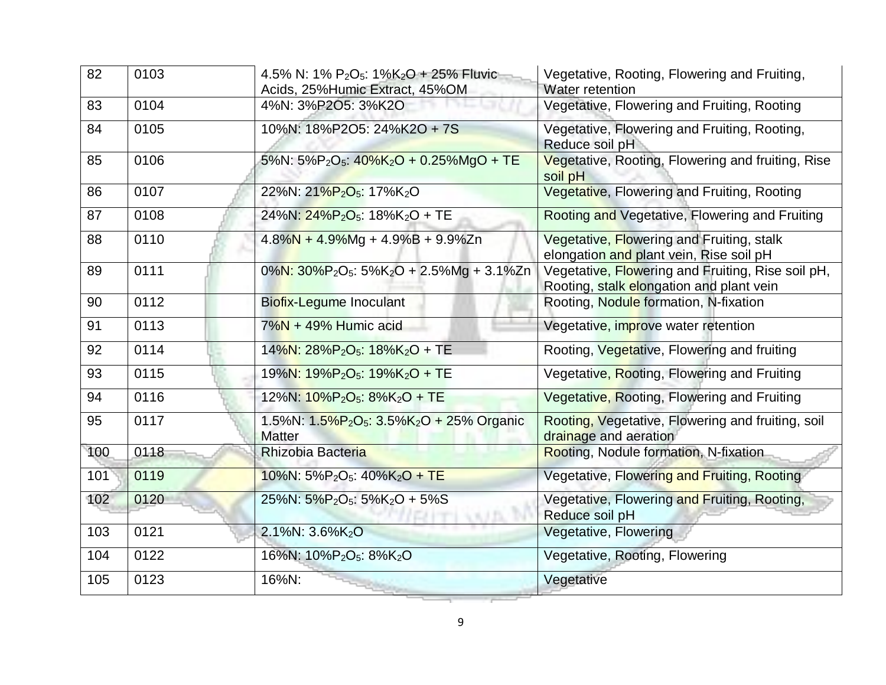| 82  | 0103 | 4.5% N: 1% P <sub>2</sub> O <sub>5</sub> : 1%K <sub>2</sub> O + 25% Fluvic<br>Acids, 25% Humic Extract, 45% OM | Vegetative, Rooting, Flowering and Fruiting,<br>Water retention                               |
|-----|------|----------------------------------------------------------------------------------------------------------------|-----------------------------------------------------------------------------------------------|
| 83  | 0104 | 4%N: 3%P2O5: 3%K2O                                                                                             | Vegetative, Flowering and Fruiting, Rooting                                                   |
| 84  | 0105 | 10%N: 18%P2O5: 24%K2O + 7S                                                                                     | Vegetative, Flowering and Fruiting, Rooting,<br>Reduce soil pH                                |
| 85  | 0106 | 5%N: 5%P <sub>2</sub> O <sub>5</sub> : $40\%$ K <sub>2</sub> O + 0.25%MgO + TE                                 | Vegetative, Rooting, Flowering and fruiting, Rise<br>soil pH                                  |
| 86  | 0107 | 22%N: 21%P <sub>2</sub> O <sub>5</sub> : 17%K <sub>2</sub> O                                                   | Vegetative, Flowering and Fruiting, Rooting                                                   |
| 87  | 0108 | 24%N: 24%P <sub>2</sub> O <sub>5</sub> : 18%K <sub>2</sub> O + TE                                              | Rooting and Vegetative, Flowering and Fruiting                                                |
| 88  | 0110 | $4.8\%$ N + 4.9%Mg + 4.9%B + 9.9%Zn                                                                            | Vegetative, Flowering and Fruiting, stalk<br>elongation and plant vein, Rise soil pH          |
| 89  | 0111 | 0%N: 30%P <sub>2</sub> O <sub>5</sub> : 5%K <sub>2</sub> O + 2.5%Mg + 3.1%Zn                                   | Vegetative, Flowering and Fruiting, Rise soil pH,<br>Rooting, stalk elongation and plant vein |
| 90  | 0112 | Biofix-Legume Inoculant                                                                                        | Rooting, Nodule formation, N-fixation                                                         |
| 91  | 0113 | $7\%$ N + 49% Humic acid                                                                                       | Vegetative, improve water retention                                                           |
| 92  | 0114 | 14%N: 28%P <sub>2</sub> O <sub>5</sub> : 18%K <sub>2</sub> O + TE                                              | Rooting, Vegetative, Flowering and fruiting                                                   |
| 93  | 0115 | 19%N: 19%P <sub>2</sub> O <sub>5</sub> : 19%K <sub>2</sub> O + TE                                              | Vegetative, Rooting, Flowering and Fruiting                                                   |
| 94  | 0116 | 12%N: 10%P <sub>2</sub> O <sub>5</sub> : 8%K <sub>2</sub> O + TE                                               | Vegetative, Rooting, Flowering and Fruiting                                                   |
| 95  | 0117 | 1.5%N: $1.5\%P_2O_5$ : $3.5\%K_2O + 25\%$ Organic<br><b>Matter</b>                                             | Rooting, Vegetative, Flowering and fruiting, soil<br>drainage and aeration                    |
| 100 | 0118 | Rhizobia Bacteria                                                                                              | Rooting, Nodule formation, N-fixation                                                         |
| 101 | 0119 | 10%N: $5\%P_2O_5$ : $40\%K_2O + TE$                                                                            | Vegetative, Flowering and Fruiting, Rooting                                                   |
| 102 | 0120 | 25%N: $5\%P_2O_5$ : $5\%K_2O + 5\%S$                                                                           | Vegetative, Flowering and Fruiting, Rooting,<br>Reduce soil pH                                |
| 103 | 0121 | 2.1%N: 3.6%K2O                                                                                                 | Vegetative, Flowering                                                                         |
| 104 | 0122 | 16%N: 10%P <sub>2</sub> O <sub>5</sub> : 8%K <sub>2</sub> O                                                    | Vegetative, Rooting, Flowering                                                                |
| 105 | 0123 | 16%N:                                                                                                          | Vegetative                                                                                    |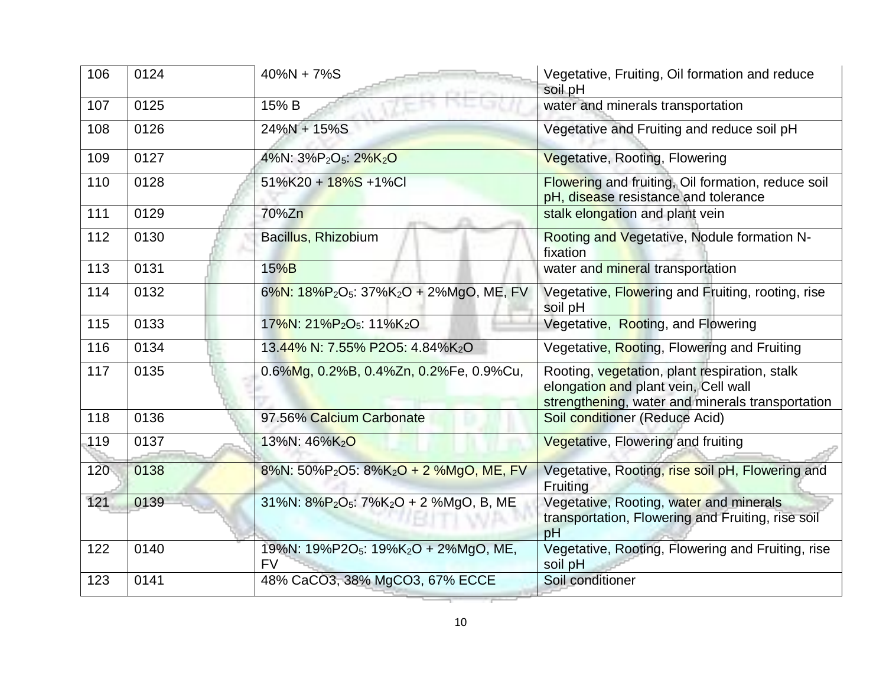| 106 | 0124 | $40\%N + 7\%S$                                                              | Vegetative, Fruiting, Oil formation and reduce<br>soil pH                                                                                 |
|-----|------|-----------------------------------------------------------------------------|-------------------------------------------------------------------------------------------------------------------------------------------|
| 107 | 0125 | 15% B                                                                       | water and minerals transportation                                                                                                         |
| 108 | 0126 | $24\%N + 15\%S$                                                             | Vegetative and Fruiting and reduce soil pH                                                                                                |
| 109 | 0127 | 4%N: 3%P <sub>2</sub> O <sub>5</sub> : 2%K <sub>2</sub> O                   | Vegetative, Rooting, Flowering                                                                                                            |
| 110 | 0128 | 51%K20 + 18%S +1%Cl                                                         | Flowering and fruiting, Oil formation, reduce soil<br>pH, disease resistance and tolerance                                                |
| 111 | 0129 | 70%Zn                                                                       | stalk elongation and plant vein                                                                                                           |
| 112 | 0130 | Bacillus, Rhizobium                                                         | Rooting and Vegetative, Nodule formation N-<br>fixation                                                                                   |
| 113 | 0131 | 15%B                                                                        | water and mineral transportation                                                                                                          |
| 114 | 0132 | 6%N: 18%P <sub>2</sub> O <sub>5</sub> : 37%K <sub>2</sub> O + 2%MgO, ME, FV | Vegetative, Flowering and Fruiting, rooting, rise<br>soil pH                                                                              |
| 115 | 0133 | 17%N: 21%P <sub>2</sub> O <sub>5</sub> : 11%K <sub>2</sub> O                | Vegetative, Rooting, and Flowering                                                                                                        |
| 116 | 0134 | 13.44% N: 7.55% P2O5: 4.84%K2O                                              | Vegetative, Rooting, Flowering and Fruiting                                                                                               |
| 117 | 0135 | 0.6%Mg, 0.2%B, 0.4%Zn, 0.2%Fe, 0.9%Cu,                                      | Rooting, vegetation, plant respiration, stalk<br>elongation and plant vein, Cell wall<br>strengthening, water and minerals transportation |
| 118 | 0136 | 97.56% Calcium Carbonate                                                    | Soil conditioner (Reduce Acid)                                                                                                            |
| 119 | 0137 | 13%N: 46%K <sub>2</sub> O                                                   | Vegetative, Flowering and fruiting                                                                                                        |
| 120 | 0138 | 8%N: 50%P <sub>2</sub> O5: 8%K <sub>2</sub> O + 2 %MgO, ME, FV              | Vegetative, Rooting, rise soil pH, Flowering and<br>Fruiting                                                                              |
| 121 | 0139 | 31%N: 8%P <sub>2</sub> O <sub>5</sub> : 7%K <sub>2</sub> O + 2 %MgO, B, ME  | Vegetative, Rooting, water and minerals<br>transportation, Flowering and Fruiting, rise soil<br>pH                                        |
| 122 | 0140 | 19%N: 19%P2O <sub>5</sub> : 19%K <sub>2</sub> O + 2%MgO, ME,<br><b>FV</b>   | Vegetative, Rooting, Flowering and Fruiting, rise<br>soil pH                                                                              |
| 123 | 0141 | 48% CaCO3, 38% MgCO3, 67% ECCE                                              | Soil conditioner                                                                                                                          |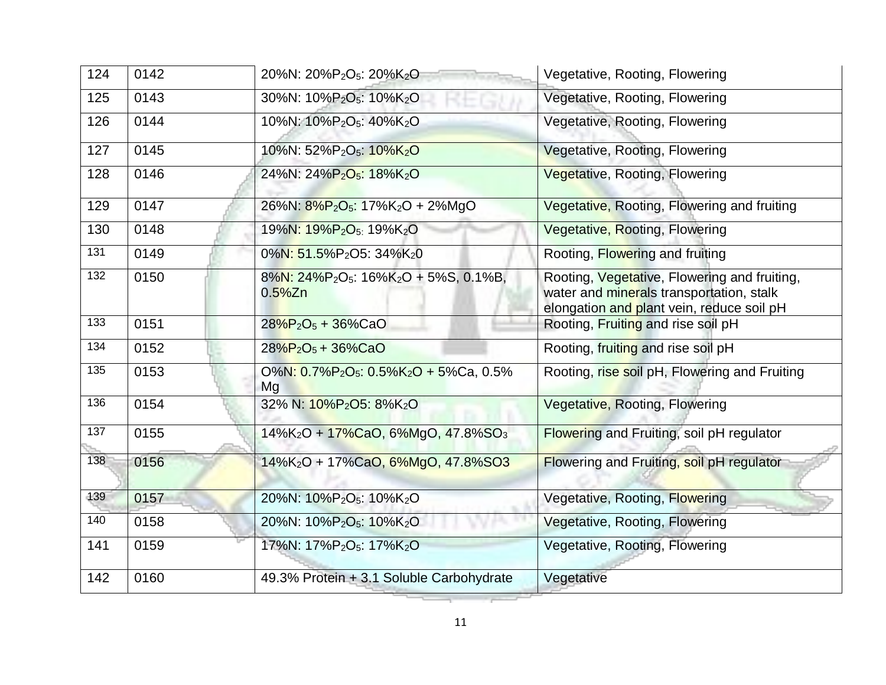| 124              | 0142 | 20%N: 20%P <sub>2</sub> O <sub>5</sub> : 20%K <sub>2</sub> O                                        | Vegetative, Rooting, Flowering                                                                                                        |
|------------------|------|-----------------------------------------------------------------------------------------------------|---------------------------------------------------------------------------------------------------------------------------------------|
| 125              | 0143 | 30%N: 10%P <sub>2</sub> O <sub>5</sub> : 10%K <sub>2</sub> O                                        | Vegetative, Rooting, Flowering                                                                                                        |
| 126              | 0144 | 10%N: 10%P <sub>2</sub> O <sub>5</sub> : 40%K <sub>2</sub> O                                        | Vegetative, Rooting, Flowering                                                                                                        |
| 127              | 0145 | 10%N: 52%P <sub>2</sub> O <sub>5</sub> : 10%K <sub>2</sub> O                                        | Vegetative, Rooting, Flowering                                                                                                        |
| 128              | 0146 | 24%N: 24%P <sub>2</sub> O <sub>5</sub> : 18%K <sub>2</sub> O                                        | Vegetative, Rooting, Flowering                                                                                                        |
| 129              | 0147 | 26%N: 8%P <sub>2</sub> O <sub>5</sub> : 17%K <sub>2</sub> O + 2%MgO                                 | Vegetative, Rooting, Flowering and fruiting                                                                                           |
| 130              | 0148 | 19%N: 19%P <sub>2</sub> O <sub>5:</sub> 19%K <sub>2</sub> O                                         | Vegetative, Rooting, Flowering                                                                                                        |
| $\overline{131}$ | 0149 | 0%N: 51.5%P <sub>2</sub> O5: 34%K <sub>2</sub> 0                                                    | Rooting, Flowering and fruiting                                                                                                       |
| 132              | 0150 | $8\%$ N: $24\%$ P <sub>2</sub> O <sub>5</sub> : $16\%$ K <sub>2</sub> O + 5%S, 0.1%B,<br>$0.5\%$ Zn | Rooting, Vegetative, Flowering and fruiting,<br>water and minerals transportation, stalk<br>elongation and plant vein, reduce soil pH |
| 133              | 0151 | $28\%P_2O_5 + 36\%CaO$                                                                              | Rooting, Fruiting and rise soil pH                                                                                                    |
| 134              | 0152 | $28\%P_2O_5 + 36\%CaO$                                                                              | Rooting, fruiting and rise soil pH                                                                                                    |
| 135              | 0153 | $O\%$ N: 0.7%P <sub>2</sub> O <sub>5</sub> : 0.5%K <sub>2</sub> O + 5%Ca, 0.5%<br>Mg                | Rooting, rise soil pH, Flowering and Fruiting                                                                                         |
| 136              | 0154 | 32% N: 10%P <sub>2</sub> O5: 8%K <sub>2</sub> O                                                     | Vegetative, Rooting, Flowering                                                                                                        |
| 137              | 0155 | 14%K <sub>2</sub> O + 17%CaO, 6%MgO, 47.8%SO <sub>3</sub>                                           | Flowering and Fruiting, soil pH regulator                                                                                             |
| 138              | 0156 | 14%K <sub>2</sub> O + 17%CaO, 6%MgO, 47.8%SO3                                                       | <b>Flowering and Fruiting, soil pH regulator</b>                                                                                      |
| 139              | 0157 | 20%N: 10%P <sub>2</sub> O <sub>5</sub> : 10%K <sub>2</sub> O                                        | Vegetative, Rooting, Flowering                                                                                                        |
| 140              | 0158 | 20%N: 10%P <sub>2</sub> O <sub>5</sub> : 10%K <sub>2</sub> O                                        | Vegetative, Rooting, Flowering                                                                                                        |
| 141              | 0159 | 17%N: 17%P <sub>2</sub> O <sub>5</sub> : 17%K <sub>2</sub> O                                        | Vegetative, Rooting, Flowering                                                                                                        |
| 142              | 0160 | 49.3% Protein + 3.1 Soluble Carbohydrate                                                            | Vegetative                                                                                                                            |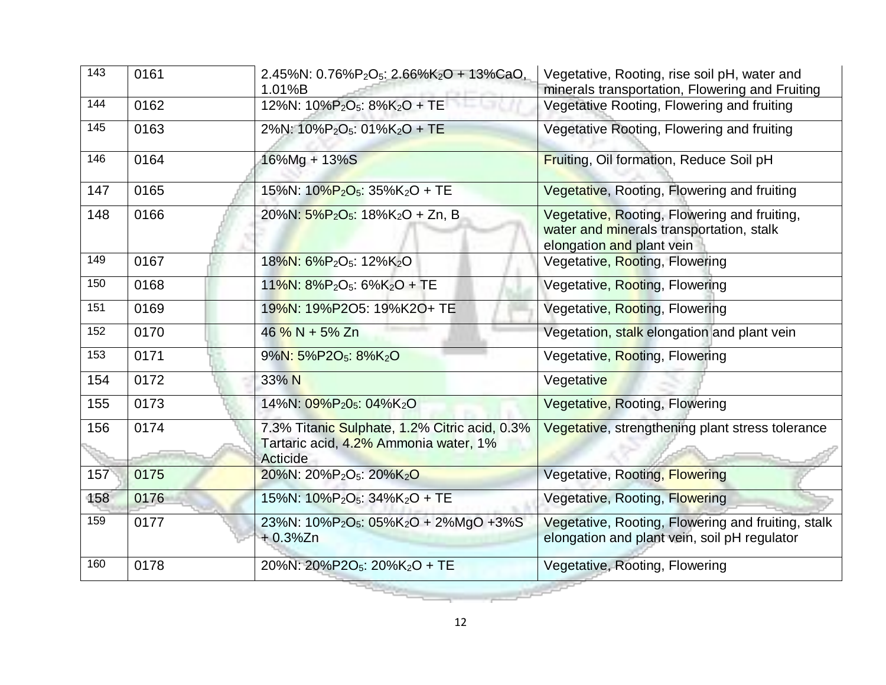| $\overline{143}$ | 0161 | 2.45%N: $0.76\%P_2O_5$ : 2.66%K <sub>2</sub> O + 13%CaO,<br>1.01%B                                 | Vegetative, Rooting, rise soil pH, water and<br>minerals transportation, Flowering and Fruiting                       |
|------------------|------|----------------------------------------------------------------------------------------------------|-----------------------------------------------------------------------------------------------------------------------|
| 144              | 0162 | 12%N: 10%P <sub>2</sub> O <sub>5</sub> : 8%K <sub>2</sub> O + TE                                   | Vegetative Rooting, Flowering and fruiting                                                                            |
| 145              | 0163 | 2%N: 10%P <sub>2</sub> O <sub>5</sub> : 01%K <sub>2</sub> O + TE                                   | Vegetative Rooting, Flowering and fruiting                                                                            |
| 146              | 0164 | 16%Mg + 13%S                                                                                       | Fruiting, Oil formation, Reduce Soil pH                                                                               |
| 147              | 0165 | 15%N: $10\%P_2O_5$ : $35\%K_2O$ + TE                                                               | Vegetative, Rooting, Flowering and fruiting                                                                           |
| 148              | 0166 | 20%N: $5\%P_2O_5$ : 18%K <sub>2</sub> O + Zn, B                                                    | Vegetative, Rooting, Flowering and fruiting,<br>water and minerals transportation, stalk<br>elongation and plant vein |
| 149              | 0167 | 18%N: 6%P <sub>2</sub> O <sub>5</sub> : 12%K <sub>2</sub> O                                        | Vegetative, Rooting, Flowering                                                                                        |
| 150              | 0168 | $11\%$ N: $8\%P_2O_5$ : $6\%K_2O$ + TE                                                             | Vegetative, Rooting, Flowering                                                                                        |
| 151              | 0169 | 19%N: 19%P2O5: 19%K2O+ TE                                                                          | Vegetative, Rooting, Flowering                                                                                        |
| 152              | 0170 | 46 % N + 5% Zn                                                                                     | Vegetation, stalk elongation and plant vein                                                                           |
| 153              | 0171 | 9%N: 5%P2O <sub>5</sub> : 8%K <sub>2</sub> O                                                       | Vegetative, Rooting, Flowering                                                                                        |
| 154              | 0172 | 33% N                                                                                              | Vegetative                                                                                                            |
| 155              | 0173 | 14%N: 09%P <sub>2</sub> 0 <sub>5</sub> : 04%K <sub>2</sub> O                                       | Vegetative, Rooting, Flowering                                                                                        |
| 156              | 0174 | 7.3% Titanic Sulphate, 1.2% Citric acid, 0.3%<br>Tartaric acid, 4.2% Ammonia water, 1%<br>Acticide | Vegetative, strengthening plant stress tolerance                                                                      |
| 157              | 0175 | 20%N: 20%P <sub>2</sub> O <sub>5</sub> : 20%K <sub>2</sub> O                                       | Vegetative, Rooting, Flowering                                                                                        |
| 158              | 0176 | 15%N: 10%P <sub>2</sub> O <sub>5</sub> : 34%K <sub>2</sub> O + TE                                  | Vegetative, Rooting, Flowering                                                                                        |
| 159              | 0177 | 23%N: 10%P <sub>2</sub> O <sub>5</sub> : 05%K <sub>2</sub> O + 2%MgO +3%S<br>$+0.3\%$ Zn           | Vegetative, Rooting, Flowering and fruiting, stalk<br>elongation and plant vein, soil pH regulator                    |
| 160              | 0178 | 20%N: 20%P2O <sub>5</sub> : 20%K <sub>2</sub> O + TE                                               | Vegetative, Rooting, Flowering                                                                                        |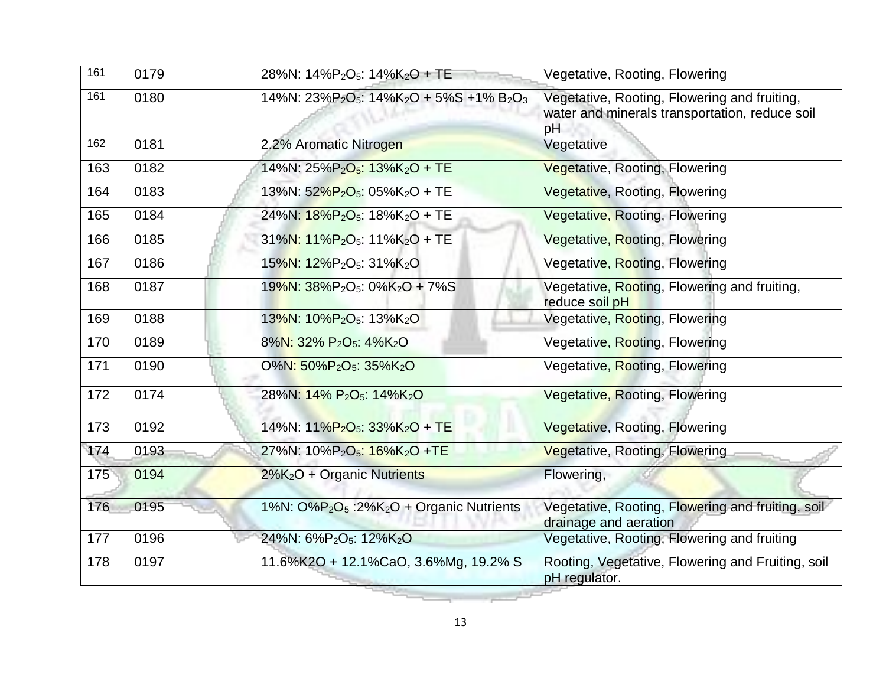| 161 | 0179 | 28%N: $14\%P_2O_5$ : $14\%K_2O$ + TE                                          | Vegetative, Rooting, Flowering                                                                       |
|-----|------|-------------------------------------------------------------------------------|------------------------------------------------------------------------------------------------------|
| 161 | 0180 | 14%N: $23\%P_2O_5$ : $14\%K_2O + 5\%S + 1\%B_2O_3$                            | Vegetative, Rooting, Flowering and fruiting,<br>water and minerals transportation, reduce soil<br>pH |
| 162 | 0181 | 2.2% Aromatic Nitrogen                                                        | Vegetative                                                                                           |
| 163 | 0182 | 14%N: 25%P <sub>2</sub> O <sub>5</sub> : 13%K <sub>2</sub> O + TE             | Vegetative, Rooting, Flowering                                                                       |
| 164 | 0183 | 13%N: 52%P <sub>2</sub> O <sub>5</sub> : 05%K <sub>2</sub> O + TE             | Vegetative, Rooting, Flowering                                                                       |
| 165 | 0184 | 24%N: 18%P <sub>2</sub> O <sub>5</sub> : 18%K <sub>2</sub> O + TE             | Vegetative, Rooting, Flowering                                                                       |
| 166 | 0185 | $31\%$ N: $11\%$ P <sub>2</sub> O <sub>5</sub> : $11\%$ K <sub>2</sub> O + TE | Vegetative, Rooting, Flowering                                                                       |
| 167 | 0186 | 15%N: 12%P <sub>2</sub> O <sub>5</sub> : 31%K <sub>2</sub> O                  | Vegetative, Rooting, Flowering                                                                       |
| 168 | 0187 | 19%N: 38%P <sub>2</sub> O <sub>5</sub> : 0%K <sub>2</sub> O + 7%S             | Vegetative, Rooting, Flowering and fruiting,<br>reduce soil pH                                       |
| 169 | 0188 | 13%N: 10%P <sub>2</sub> O <sub>5</sub> : 13%K <sub>2</sub> O                  | Vegetative, Rooting, Flowering                                                                       |
| 170 | 0189 | 8%N: 32% P <sub>2</sub> O <sub>5</sub> : 4%K <sub>2</sub> O                   | Vegetative, Rooting, Flowering                                                                       |
| 171 | 0190 | O%N: 50%P <sub>2</sub> O <sub>5</sub> : 35%K <sub>2</sub> O                   | Vegetative, Rooting, Flowering                                                                       |
| 172 | 0174 | 28%N: 14% P <sub>2</sub> O <sub>5</sub> : 14%K <sub>2</sub> O                 | Vegetative, Rooting, Flowering                                                                       |
| 173 | 0192 | 14%N: $11\%P_2O_5$ : $33\%K_2O + TE$                                          | Vegetative, Rooting, Flowering                                                                       |
| 174 | 0193 | 27%N: 10%P <sub>2</sub> O <sub>5</sub> : 16%K <sub>2</sub> O +TE              | Vegetative, Rooting, Flowering                                                                       |
| 175 | 0194 | $2\%K_2O$ + Organic Nutrients                                                 | Flowering,                                                                                           |
| 176 | 0195 | 1%N: $O%P2O5$ :2%K <sub>2</sub> O + Organic Nutrients                         | Vegetative, Rooting, Flowering and fruiting, soil<br>drainage and aeration                           |
| 177 | 0196 | 24%N: 6%P <sub>2</sub> O <sub>5</sub> : 12%K <sub>2</sub> O                   | Vegetative, Rooting, Flowering and fruiting                                                          |
| 178 | 0197 | 11.6%K2O + 12.1%CaO, 3.6%Mg, 19.2% S                                          | Rooting, Vegetative, Flowering and Fruiting, soil<br>pH regulator.                                   |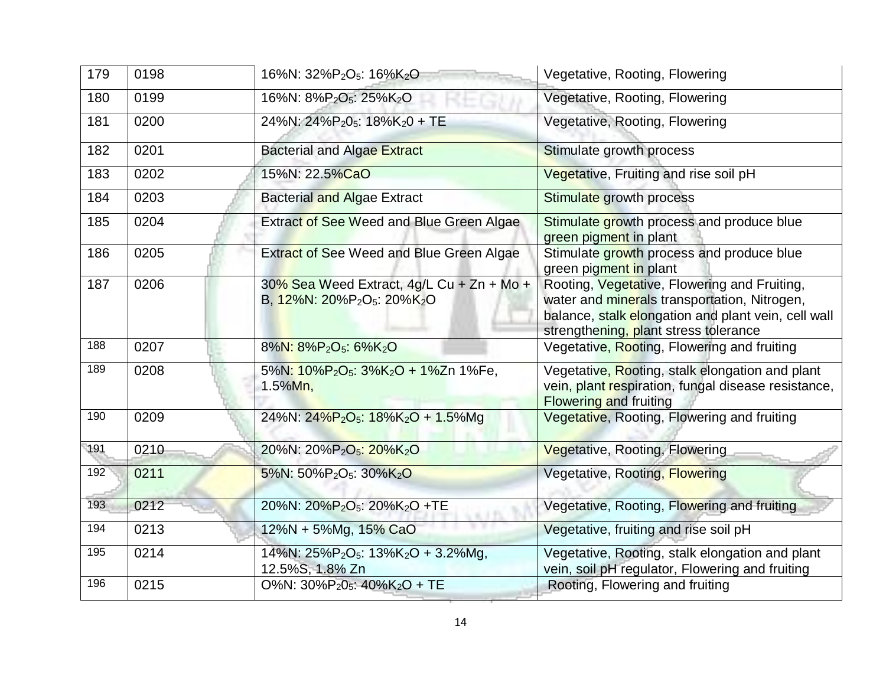| 179 | 0198 | 16%N: 32%P <sub>2</sub> O <sub>5</sub> : 16%K <sub>2</sub> O                                                     | Vegetative, Rooting, Flowering                                                                                                                                                               |
|-----|------|------------------------------------------------------------------------------------------------------------------|----------------------------------------------------------------------------------------------------------------------------------------------------------------------------------------------|
| 180 | 0199 | 16%N: 8%P <sub>2</sub> O <sub>5</sub> : 25%K <sub>2</sub> O                                                      | Vegetative, Rooting, Flowering                                                                                                                                                               |
| 181 | 0200 | 24%N: 24%P <sub>2</sub> 0 <sub>5</sub> : 18%K <sub>2</sub> 0 + TE                                                | Vegetative, Rooting, Flowering                                                                                                                                                               |
| 182 | 0201 | <b>Bacterial and Algae Extract</b>                                                                               | Stimulate growth process                                                                                                                                                                     |
| 183 | 0202 | 15%N: 22.5%CaO                                                                                                   | Vegetative, Fruiting and rise soil pH                                                                                                                                                        |
| 184 | 0203 | <b>Bacterial and Algae Extract</b>                                                                               | Stimulate growth process                                                                                                                                                                     |
| 185 | 0204 | Extract of See Weed and Blue Green Algae                                                                         | Stimulate growth process and produce blue<br>green pigment in plant                                                                                                                          |
| 186 | 0205 | Extract of See Weed and Blue Green Algae                                                                         | Stimulate growth process and produce blue<br>green pigment in plant                                                                                                                          |
| 187 | 0206 | 30% Sea Weed Extract, 4g/L Cu + Zn + Mo +<br>B, $12\%$ N: 20%P <sub>2</sub> O <sub>5</sub> : 20%K <sub>2</sub> O | Rooting, Vegetative, Flowering and Fruiting,<br>water and minerals transportation, Nitrogen,<br>balance, stalk elongation and plant vein, cell wall<br>strengthening, plant stress tolerance |
| 188 | 0207 | 8%N: 8%P <sub>2</sub> O <sub>5</sub> : 6%K <sub>2</sub> O                                                        | Vegetative, Rooting, Flowering and fruiting                                                                                                                                                  |
| 189 | 0208 | 5%N: 10%P <sub>2</sub> O <sub>5</sub> : 3%K <sub>2</sub> O + 1%Zn 1%Fe,<br>$1.5\%$ Mn,                           | Vegetative, Rooting, stalk elongation and plant<br>vein, plant respiration, fungal disease resistance,<br><b>Flowering and fruiting</b>                                                      |
| 190 | 0209 | 24%N: 24%P <sub>2</sub> O <sub>5</sub> : 18%K <sub>2</sub> O + 1.5%Mg                                            | Vegetative, Rooting, Flowering and fruiting                                                                                                                                                  |
| 191 | 0210 | 20%N: 20%P <sub>2</sub> O <sub>5</sub> : 20%K <sub>2</sub> O                                                     | Vegetative, Rooting, Flowering                                                                                                                                                               |
| 192 | 0211 | 5%N: 50%P <sub>2</sub> O <sub>5</sub> : 30%K <sub>2</sub> O                                                      | Vegetative, Rooting, Flowering                                                                                                                                                               |
| 193 | 0212 | 20%N: 20%P <sub>2</sub> O <sub>5</sub> : 20%K <sub>2</sub> O +TE                                                 | Vegetative, Rooting, Flowering and fruiting                                                                                                                                                  |
| 194 | 0213 | 12%N + 5%Mg, 15% CaO                                                                                             | Vegetative, fruiting and rise soil pH                                                                                                                                                        |
| 195 | 0214 | 14%N: $25\%P_2O_5$ : 13%K <sub>2</sub> O + 3.2%Mg,<br>12.5%S, 1.8% Zn                                            | Vegetative, Rooting, stalk elongation and plant<br>vein, soil pH regulator, Flowering and fruiting                                                                                           |
| 196 | 0215 | O%N: $30\%P_2O_5$ : $40\%K_2O$ + TE                                                                              | Rooting, Flowering and fruiting                                                                                                                                                              |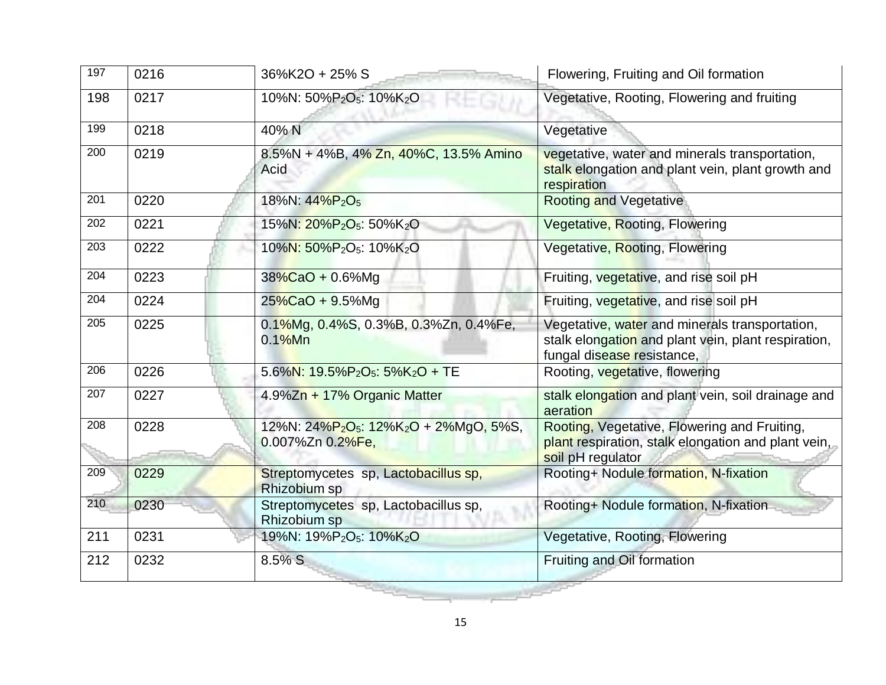| 197              | 0216 | 36%K2O + 25% S                                                                                 | Flowering, Fruiting and Oil formation                                                                                               |
|------------------|------|------------------------------------------------------------------------------------------------|-------------------------------------------------------------------------------------------------------------------------------------|
| 198              | 0217 | 10%N: 50%P <sub>2</sub> O <sub>5</sub> : 10%K <sub>2</sub> O                                   | Vegetative, Rooting, Flowering and fruiting                                                                                         |
| 199              | 0218 | 40% N                                                                                          | Vegetative                                                                                                                          |
| 200              | 0219 | 8.5%N + 4%B, 4% Zn, 40%C, 13.5% Amino<br>Acid                                                  | vegetative, water and minerals transportation,<br>stalk elongation and plant vein, plant growth and<br>respiration                  |
| 201              | 0220 | 18%N: 44%P <sub>2</sub> O <sub>5</sub>                                                         | <b>Rooting and Vegetative</b>                                                                                                       |
| 202              | 0221 | 15%N: 20%P <sub>2</sub> O <sub>5</sub> : 50%K <sub>2</sub> O                                   | Vegetative, Rooting, Flowering                                                                                                      |
| $\overline{203}$ | 0222 | 10%N: 50%P <sub>2</sub> O <sub>5</sub> : 10%K <sub>2</sub> O                                   | Vegetative, Rooting, Flowering                                                                                                      |
| 204              | 0223 | $38\%$ CaO + 0.6%Mg                                                                            | Fruiting, vegetative, and rise soil pH                                                                                              |
| $\overline{204}$ | 0224 | $25\%$ CaO + 9.5%Mg                                                                            | Fruiting, vegetative, and rise soil pH                                                                                              |
| 205              | 0225 | 0.1%Mg, 0.4%S, 0.3%B, 0.3%Zn, 0.4%Fe,<br>$0.1\%$ Mn                                            | Vegetative, water and minerals transportation,<br>stalk elongation and plant vein, plant respiration,<br>fungal disease resistance, |
| 206              | 0226 | 5.6%N: 19.5%P <sub>2</sub> O <sub>5</sub> : 5%K <sub>2</sub> O + TE                            | Rooting, vegetative, flowering                                                                                                      |
| 207              | 0227 | 4.9%Zn + 17% Organic Matter                                                                    | stalk elongation and plant vein, soil drainage and<br>aeration                                                                      |
| 208              | 0228 | 12%N: 24%P <sub>2</sub> O <sub>5</sub> : 12%K <sub>2</sub> O + 2%MgO, 5%S,<br>0.007%Zn 0.2%Fe, | Rooting, Vegetative, Flowering and Fruiting,<br>plant respiration, stalk elongation and plant vein,<br>soil pH regulator            |
| 209              | 0229 | Streptomycetes sp, Lactobacillus sp,<br>Rhizobium sp                                           | Rooting+ Nodule formation, N-fixation                                                                                               |
| 210              | 0230 | Streptomycetes sp, Lactobacillus sp,<br>Rhizobium sp                                           | Rooting+ Nodule formation, N-fixation                                                                                               |
| 211              | 0231 | 19%N: 19%P <sub>2</sub> O <sub>5</sub> : 10%K <sub>2</sub> O                                   | Vegetative, Rooting, Flowering                                                                                                      |
| 212              | 0232 | 8.5% S                                                                                         | Fruiting and Oil formation                                                                                                          |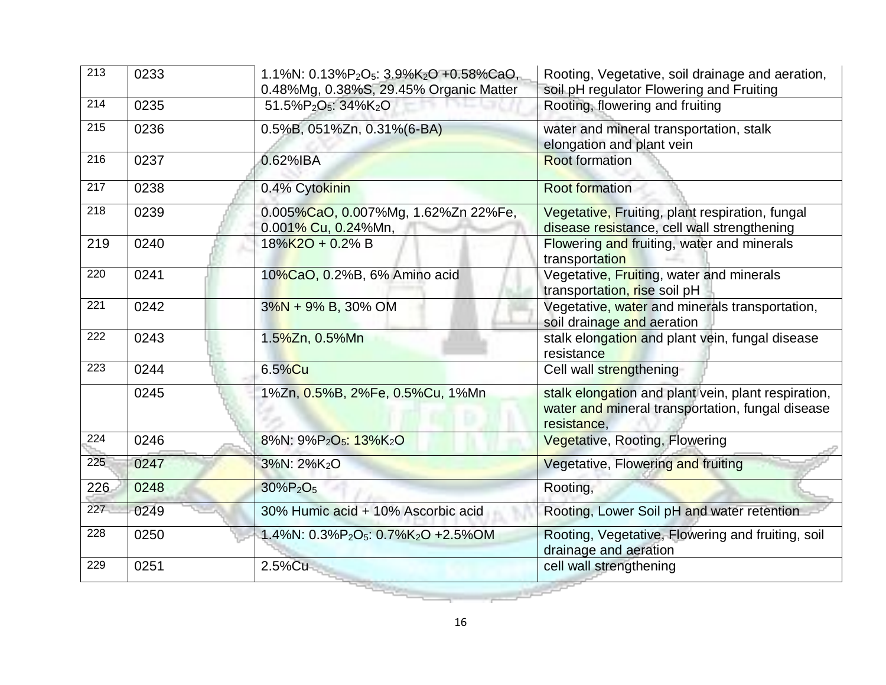| $\overline{213}$ | 0233 | 1.1%N: 0.13%P <sub>2</sub> O <sub>5</sub> : 3.9%K <sub>2</sub> O +0.58%CaO,<br>0.48%Mg, 0.38%S, 29.45% Organic Matter | Rooting, Vegetative, soil drainage and aeration,<br>soil pH regulator Flowering and Fruiting                           |
|------------------|------|-----------------------------------------------------------------------------------------------------------------------|------------------------------------------------------------------------------------------------------------------------|
| $\overline{214}$ | 0235 | 51.5%P <sub>2</sub> O <sub>5</sub> : 34%K <sub>2</sub> O                                                              | Rooting, flowering and fruiting                                                                                        |
| 215              | 0236 | 0.5%B, 051%Zn, 0.31%(6-BA)                                                                                            | water and mineral transportation, stalk<br>elongation and plant vein                                                   |
| 216              | 0237 | 0.62%IBA                                                                                                              | <b>Root formation</b>                                                                                                  |
| 217              | 0238 | 0.4% Cytokinin                                                                                                        | <b>Root formation</b>                                                                                                  |
| $\overline{218}$ | 0239 | 0.005%CaO, 0.007%Mg, 1.62%Zn 22%Fe,<br>0.001% Cu, 0.24%Mn,                                                            | Vegetative, Fruiting, plant respiration, fungal<br>disease resistance, cell wall strengthening                         |
| 219              | 0240 | 18%K2O + 0.2% B                                                                                                       | Flowering and fruiting, water and minerals<br>transportation                                                           |
| 220              | 0241 | 10%CaO, 0.2%B, 6% Amino acid                                                                                          | Vegetative, Fruiting, water and minerals<br>transportation, rise soil pH                                               |
| 221              | 0242 | $3\%N + 9\% B$ , 30% OM                                                                                               | Vegetative, water and minerals transportation,<br>soil drainage and aeration                                           |
| 222              | 0243 | 1.5 <mark>%Z</mark> n, 0.5%Mn                                                                                         | stalk elongation and plant vein, fungal disease<br>resistance                                                          |
| 223              | 0244 | 6.5%Cu                                                                                                                | Cell wall strengthening                                                                                                |
|                  | 0245 | 1%Zn, 0.5%B, 2%Fe, 0.5%Cu, 1%Mn                                                                                       | stalk elongation and plant vein, plant respiration,<br>water and mineral transportation, fungal disease<br>resistance, |
| 224              | 0246 | 8%N: 9%P <sub>2</sub> O <sub>5</sub> : 13%K <sub>2</sub> O                                                            | Vegetative, Rooting, Flowering                                                                                         |
| 225              | 0247 | 3%N: 2%K <sub>2</sub> O                                                                                               | Vegetative, Flowering and fruiting                                                                                     |
| 226              | 0248 | 30%P <sub>2</sub> O <sub>5</sub>                                                                                      | Rooting,                                                                                                               |
| 227              | 0249 | 30% Humic acid + 10% Ascorbic acid                                                                                    | Rooting, Lower Soil pH and water retention                                                                             |
| $\overline{228}$ | 0250 | 1.4%N: $0.3\%P_2O_5$ : $0.7\%K_2O$ +2.5%OM                                                                            | Rooting, Vegetative, Flowering and fruiting, soil<br>drainage and aeration                                             |
| 229              | 0251 | 2.5%Cu                                                                                                                | cell wall strengthening                                                                                                |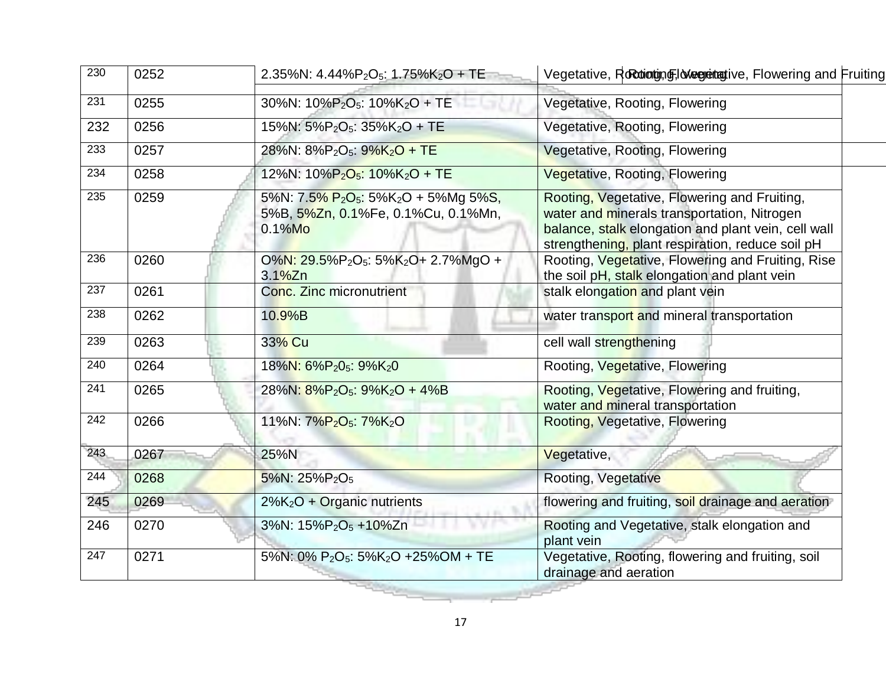| 230              | 0252 | 2.35%N: $4.44\%P_2O_5$ : 1.75%K <sub>2</sub> O + TE                                                                          | Vegetative, Rocolotyng, Negretative, Flowering and Fruiting                                                                                                                                            |
|------------------|------|------------------------------------------------------------------------------------------------------------------------------|--------------------------------------------------------------------------------------------------------------------------------------------------------------------------------------------------------|
| 231              | 0255 | 30%N: 10%P <sub>2</sub> O <sub>5</sub> : 10%K <sub>2</sub> O + TE                                                            | Vegetative, Rooting, Flowering                                                                                                                                                                         |
| 232              | 0256 | 15%N: 5%P <sub>2</sub> O <sub>5</sub> : 35%K <sub>2</sub> O + TE                                                             | Vegetative, Rooting, Flowering                                                                                                                                                                         |
| 233              | 0257 | 28%N: 8%P <sub>2</sub> O <sub>5</sub> : 9%K <sub>2</sub> O + TE                                                              | Vegetative, Rooting, Flowering                                                                                                                                                                         |
| 234              | 0258 | 12%N: 10%P <sub>2</sub> O <sub>5</sub> : 10%K <sub>2</sub> O + TE                                                            | Vegetative, Rooting, Flowering                                                                                                                                                                         |
| 235              | 0259 | 5%N: 7.5% P <sub>2</sub> O <sub>5</sub> : 5%K <sub>2</sub> O + 5%Mg 5%S,<br>5%B, 5%Zn, 0.1%Fe, 0.1%Cu, 0.1%Mn,<br>$0.1\%$ Mo | Rooting, Vegetative, Flowering and Fruiting,<br>water and minerals transportation, Nitrogen<br>balance, stalk elongation and plant vein, cell wall<br>strengthening, plant respiration, reduce soil pH |
| 236              | 0260 | O%N: 29.5%P <sub>2</sub> O <sub>5</sub> : 5%K <sub>2</sub> O+ 2.7%MgO +<br>3.1%Zn                                            | Rooting, Vegetative, Flowering and Fruiting, Rise<br>the soil pH, stalk elongation and plant vein                                                                                                      |
| 237              | 0261 | Conc. Zinc micronutrient                                                                                                     | stalk elongation and plant vein                                                                                                                                                                        |
| 238              | 0262 | $10.9%$ B                                                                                                                    | water transport and mineral transportation                                                                                                                                                             |
| 239              | 0263 | 33% Cu                                                                                                                       | cell wall strengthening                                                                                                                                                                                |
| 240              | 0264 | 18%N: 6%P <sub>2</sub> 0 <sub>5</sub> : 9%K <sub>2</sub> 0                                                                   | Rooting, Vegetative, Flowering                                                                                                                                                                         |
| $\overline{241}$ | 0265 | 28%N: 8%P <sub>2</sub> O <sub>5</sub> : 9%K <sub>2</sub> O + 4%B                                                             | Rooting, Vegetative, Flowering and fruiting,<br>water and mineral transportation                                                                                                                       |
| 242              | 0266 | 11%N: 7%P <sub>2</sub> O <sub>5</sub> : 7%K <sub>2</sub> O                                                                   | Rooting, Vegetative, Flowering                                                                                                                                                                         |
| 243              | 0267 | 25%N                                                                                                                         | Vegetative,                                                                                                                                                                                            |
| 244              | 0268 | $5\%$ N: 25%P <sub>2</sub> O <sub>5</sub>                                                                                    | Rooting, Vegetative                                                                                                                                                                                    |
| 245              | 0269 | $2\%K_2O$ + Organic nutrients                                                                                                | flowering and fruiting, soil drainage and aeration                                                                                                                                                     |
| 246              | 0270 | 3%N: 15%P <sub>2</sub> O <sub>5</sub> +10%Zn                                                                                 | Rooting and Vegetative, stalk elongation and<br>plant vein                                                                                                                                             |
| 247              | 0271 | 5%N: 0% P <sub>2</sub> O <sub>5</sub> : 5%K <sub>2</sub> O +25%OM + TE                                                       | Vegetative, Rooting, flowering and fruiting, soil<br>drainage and aeration                                                                                                                             |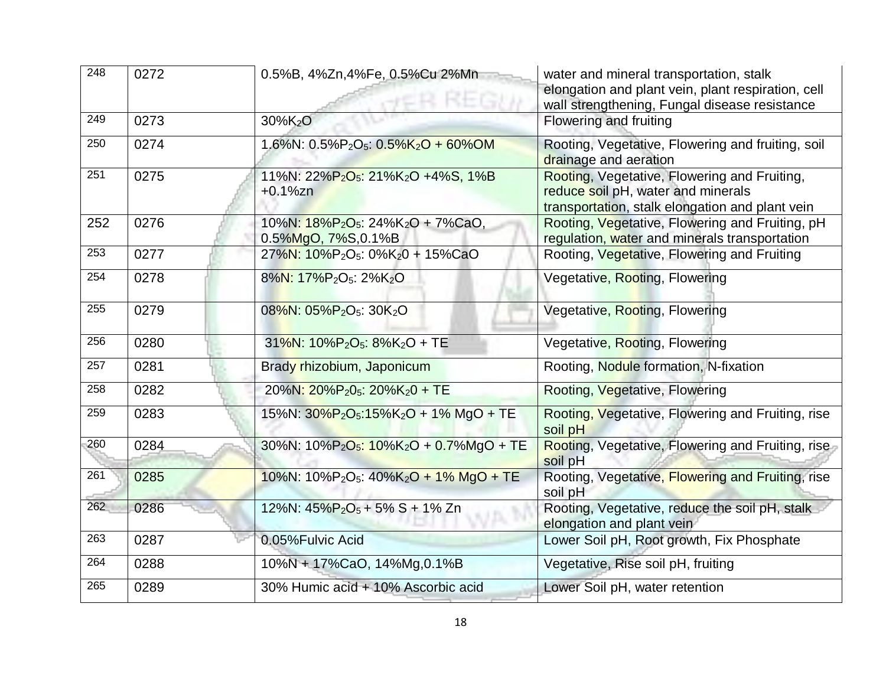| 248 | 0272 | 0.5%B, 4%Zn,4%Fe, 0.5%Cu 2%Mn<br>REGI                                                        | water and mineral transportation, stalk<br>elongation and plant vein, plant respiration, cell<br>wall strengthening, Fungal disease resistance |
|-----|------|----------------------------------------------------------------------------------------------|------------------------------------------------------------------------------------------------------------------------------------------------|
| 249 | 0273 | 30%K <sub>2</sub> O                                                                          | Flowering and fruiting                                                                                                                         |
| 250 | 0274 | 1.6%N: $0.5\%P_2O_5$ : $0.5\%K_2O + 60\%OM$                                                  | Rooting, Vegetative, Flowering and fruiting, soil<br>drainage and aeration                                                                     |
| 251 | 0275 | 11%N: 22%P <sub>2</sub> O <sub>5</sub> : 21%K <sub>2</sub> O +4%S, 1%B<br>$+0.1%$ zn         | Rooting, Vegetative, Flowering and Fruiting,<br>reduce soil pH, water and minerals<br>transportation, stalk elongation and plant vein          |
| 252 | 0276 | 10%N: 18%P <sub>2</sub> O <sub>5</sub> : 24%K <sub>2</sub> O + 7%CaO,<br>0.5%MgO, 7%S, 0.1%B | Rooting, Vegetative, Flowering and Fruiting, pH<br>regulation, water and minerals transportation                                               |
| 253 | 0277 | $27\%$ N: $10\%$ P <sub>2</sub> O <sub>5</sub> : 0%K <sub>2</sub> 0 + 15%CaO                 | Rooting, Vegetative, Flowering and Fruiting                                                                                                    |
| 254 | 0278 | 8%N: 17%P <sub>2</sub> O <sub>5</sub> : 2%K <sub>2</sub> O                                   | Vegetative, Rooting, Flowering                                                                                                                 |
| 255 | 0279 | 08%N: 05%P <sub>2</sub> O <sub>5</sub> : 30K <sub>2</sub> O                                  | Vegetative, Rooting, Flowering                                                                                                                 |
| 256 | 0280 | $31\%$ N: $10\%$ P <sub>2</sub> O <sub>5</sub> : $8\%$ K <sub>2</sub> O + TE                 | Vegetative, Rooting, Flowering                                                                                                                 |
| 257 | 0281 | Brady rhizobium, Japonicum                                                                   | Rooting, Nodule formation, N-fixation                                                                                                          |
| 258 | 0282 | 20%N: 20%P <sub>2</sub> 0 <sub>5</sub> : 20%K <sub>2</sub> 0 + TE                            | Rooting, Vegetative, Flowering                                                                                                                 |
| 259 | 0283 | 15%N: $30\%P_2O_5:15\%K_2O + 1\%$ MgO + TE                                                   | Rooting, Vegetative, Flowering and Fruiting, rise<br>soil pH                                                                                   |
| 260 | 0284 | 30%N: 10%P <sub>2</sub> O <sub>5</sub> : 10%K <sub>2</sub> O + 0.7%MgO + TE                  | Rooting, Vegetative, Flowering and Fruiting, rise<br>soil pH                                                                                   |
| 261 | 0285 | 10%N: $10\%P_2O_5$ : $40\%K_2O + 1\%$ MgO + TE                                               | Rooting, Vegetative, Flowering and Fruiting, rise<br>soil pH                                                                                   |
| 262 | 0286 | 12%N: $45\%P_2O_5 + 5\%S + 1\%Zn$                                                            | Rooting, Vegetative, reduce the soil pH, stalk<br>elongation and plant vein                                                                    |
| 263 | 0287 | 0.05%Fulvic Acid                                                                             | Lower Soil pH, Root growth, Fix Phosphate                                                                                                      |
| 264 | 0288 | 10%N + 17%CaO, 14%Mg, 0.1%B                                                                  | Vegetative, Rise soil pH, fruiting                                                                                                             |
| 265 | 0289 | 30% Humic acid + 10% Ascorbic acid                                                           | Lower Soil pH, water retention                                                                                                                 |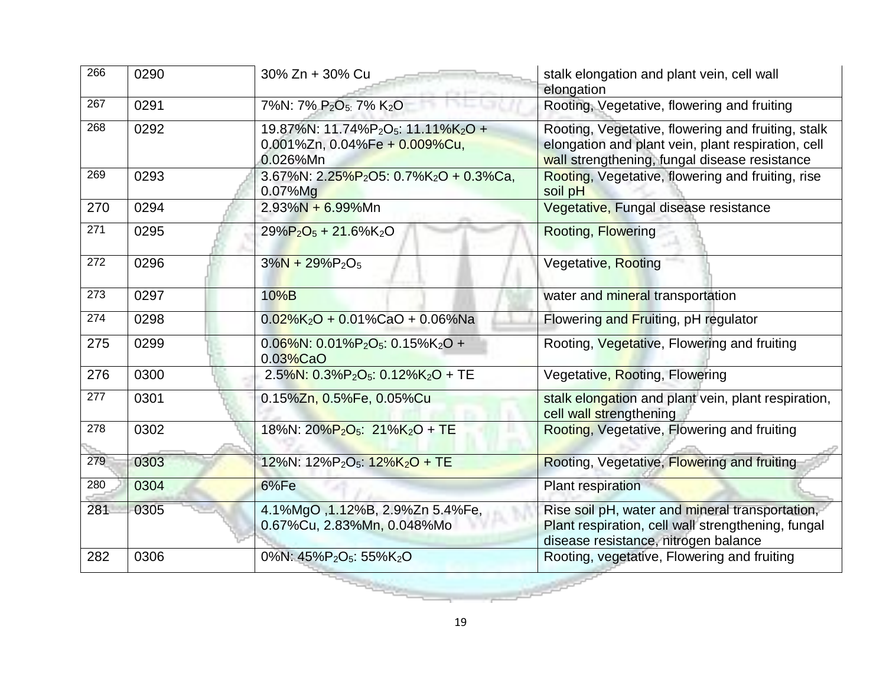| 266 | 0290 | 30% Zn + 30% Cu                                                                                                      | stalk elongation and plant vein, cell wall<br>elongation                                                                                                  |
|-----|------|----------------------------------------------------------------------------------------------------------------------|-----------------------------------------------------------------------------------------------------------------------------------------------------------|
| 267 | 0291 | 7%N: 7% P <sub>2</sub> O <sub>5:</sub> 7% K <sub>2</sub> O                                                           | Rooting, Vegetative, flowering and fruiting                                                                                                               |
| 268 | 0292 | 19.87%N: 11.74%P <sub>2</sub> O <sub>5</sub> : 11.11%K <sub>2</sub> O +<br>0.001%Zn, 0.04%Fe + 0.009%Cu,<br>0.026%Mn | Rooting, Vegetative, flowering and fruiting, stalk<br>elongation and plant vein, plant respiration, cell<br>wall strengthening, fungal disease resistance |
| 269 | 0293 | 3.67%N: $2.25\%P_2O5$ : $0.7\%K_2O + 0.3\%Ca$ ,<br>$0.07\%$ Mg                                                       | Rooting, Vegetative, flowering and fruiting, rise<br>soil pH                                                                                              |
| 270 | 0294 | $2.93\%N + 6.99\%Mn$                                                                                                 | Vegetative, Fungal disease resistance                                                                                                                     |
| 271 | 0295 | $29\%P_2O_5 + 21.6\%K_2O$                                                                                            | <b>Rooting, Flowering</b>                                                                                                                                 |
| 272 | 0296 | $3\%N + 29\%P_2O_5$                                                                                                  | Vegetative, Rooting                                                                                                                                       |
| 273 | 0297 | 10%B                                                                                                                 | water and mineral transportation                                                                                                                          |
| 274 | 0298 | $0.02\%$ K <sub>2</sub> O + 0.01%CaO + 0.06%Na                                                                       | Flowering and Fruiting, pH regulator                                                                                                                      |
| 275 | 0299 | $0.06\%$ N: $0.01\%$ P <sub>2</sub> O <sub>5</sub> : $0.15\%$ K <sub>2</sub> O +<br>$0.03\%$ CaO                     | Rooting, Vegetative, Flowering and fruiting                                                                                                               |
| 276 | 0300 | $2.5\%$ N: 0.3%P <sub>2</sub> O <sub>5</sub> : 0.12%K <sub>2</sub> O + TE                                            | Vegetative, Rooting, Flowering                                                                                                                            |
| 277 | 0301 | 0.15%Zn, 0.5%Fe, 0.05%Cu                                                                                             | stalk elongation and plant vein, plant respiration,<br>cell wall strengthening                                                                            |
| 278 | 0302 | 18%N: 20%P <sub>2</sub> O <sub>5</sub> : 21%K <sub>2</sub> O + TE                                                    | Rooting, Vegetative, Flowering and fruiting                                                                                                               |
| 279 | 0303 | 12%N: 12%P <sub>2</sub> O <sub>5</sub> : 12%K <sub>2</sub> O + TE                                                    | Rooting, Vegetative, Flowering and fruiting                                                                                                               |
| 280 | 0304 | 6%Fe                                                                                                                 | Plant respiration                                                                                                                                         |
| 281 | 0305 | 4.1%MgO , 1.12%B, 2.9%Zn 5.4%Fe,<br>0.67%Cu, 2.83%Mn, 0.048%Mo                                                       | Rise soil pH, water and mineral transportation,<br>Plant respiration, cell wall strengthening, fungal<br>disease resistance, nitrogen balance             |
| 282 | 0306 | $0\%$ N: 45%P <sub>2</sub> O <sub>5</sub> : 55%K <sub>2</sub> O                                                      | Rooting, vegetative, Flowering and fruiting                                                                                                               |
|     |      |                                                                                                                      |                                                                                                                                                           |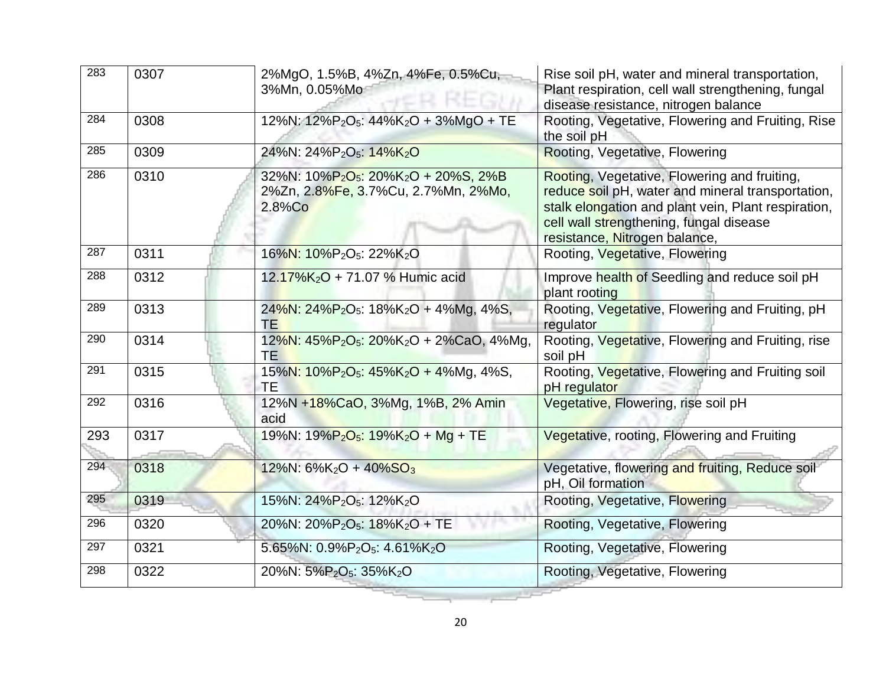| 283 | 0307 | 2%MgO, 1.5%B, 4%Zn, 4%Fe, 0.5%Cu,<br>3%Mn, 0.05%Mo                                                                        | Rise soil pH, water and mineral transportation,<br>Plant respiration, cell wall strengthening, fungal<br>disease resistance, nitrogen balance                                                                                        |
|-----|------|---------------------------------------------------------------------------------------------------------------------------|--------------------------------------------------------------------------------------------------------------------------------------------------------------------------------------------------------------------------------------|
| 284 | 0308 | 12%N: 12%P <sub>2</sub> O <sub>5</sub> : 44%K <sub>2</sub> O + 3%MgO + TE                                                 | Rooting, Vegetative, Flowering and Fruiting, Rise<br>the soil pH                                                                                                                                                                     |
| 285 | 0309 | 24%N: 24%P <sub>2</sub> O <sub>5</sub> : 14%K <sub>2</sub> O                                                              | Rooting, Vegetative, Flowering                                                                                                                                                                                                       |
| 286 | 0310 | 32%N: 10%P <sub>2</sub> O <sub>5</sub> : 20%K <sub>2</sub> O + 20%S, 2%B<br>2%Zn, 2.8%Fe, 3.7%Cu, 2.7%Mn, 2%Mo,<br>2.8%Co | Rooting, Vegetative, Flowering and fruiting,<br>reduce soil pH, water and mineral transportation,<br>stalk elongation and plant vein, Plant respiration,<br>cell wall strengthening, fungal disease<br>resistance, Nitrogen balance, |
| 287 | 0311 | 16%N: 10%P <sub>2</sub> O <sub>5</sub> : 22%K <sub>2</sub> O                                                              | Rooting, Vegetative, Flowering                                                                                                                                                                                                       |
| 288 | 0312 | 12.17%K <sub>2</sub> O + 71.07 % Humic acid                                                                               | Improve health of Seedling and reduce soil pH<br>plant rooting                                                                                                                                                                       |
| 289 | 0313 | $24\%$ N: $24\%$ P <sub>2</sub> O <sub>5</sub> : $18\%$ K <sub>2</sub> O + 4%Mg, 4%S,<br><b>TE</b>                        | Rooting, Vegetative, Flowering and Fruiting, pH<br>regulator                                                                                                                                                                         |
| 290 | 0314 | $12\%$ N: $45\%$ P <sub>2</sub> O <sub>5</sub> : $20\%$ K <sub>2</sub> O + 2%CaO, 4%Mg,<br><b>TE</b>                      | Rooting, Vegetative, Flowering and Fruiting, rise<br>soil pH                                                                                                                                                                         |
| 291 | 0315 | $15\%$ N: $10\%$ P <sub>2</sub> O <sub>5</sub> : $45\%$ K <sub>2</sub> O + 4%Mg, 4%S,<br>TE                               | Rooting, Vegetative, Flowering and Fruiting soil<br>pH regulator                                                                                                                                                                     |
| 292 | 0316 | 12%N +18%CaO, 3%Mg, 1%B, 2% Amin<br>acid                                                                                  | Vegetative, Flowering, rise soil pH                                                                                                                                                                                                  |
| 293 | 0317 | 19%N: $19\sqrt{P_2O_5}$ : $19\sqrt{K_2O}$ + Mg + TE                                                                       | Vegetative, rooting, Flowering and Fruiting                                                                                                                                                                                          |
| 294 | 0318 | $12\%$ N: 6%K <sub>2</sub> O + 40%SO <sub>3</sub>                                                                         | Vegetative, flowering and fruiting, Reduce soil<br>pH, Oil formation                                                                                                                                                                 |
| 295 | 0319 | 15%N: 24%P <sub>2</sub> O <sub>5</sub> : 12%K <sub>2</sub> O                                                              | Rooting, Vegetative, Flowering                                                                                                                                                                                                       |
| 296 | 0320 | 20%N: 20%P <sub>2</sub> O <sub>5</sub> : 18%K <sub>2</sub> O + TE                                                         | Rooting, Vegetative, Flowering                                                                                                                                                                                                       |
| 297 | 0321 | 5.65%N: 0.9%P <sub>2</sub> O <sub>5</sub> : 4.61%K <sub>2</sub> O                                                         | Rooting, Vegetative, Flowering                                                                                                                                                                                                       |
| 298 | 0322 | 20%N: 5%P <sub>2</sub> O <sub>5</sub> : 35%K <sub>2</sub> O                                                               | Rooting, Vegetative, Flowering                                                                                                                                                                                                       |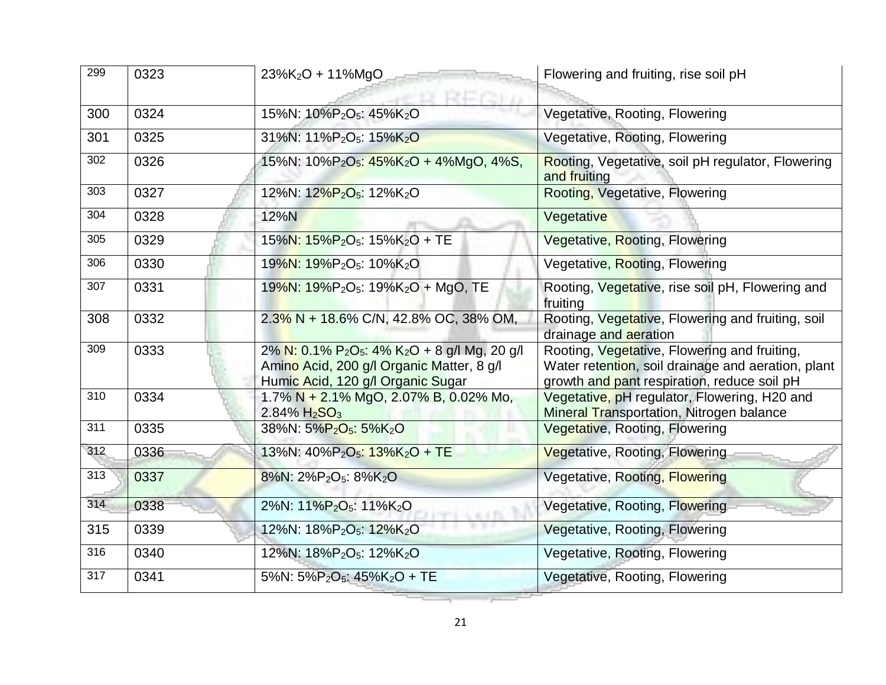| 299              | 0323 | $23\%K_2O + 11\%MgO$<br>REGIO                                                                                                                                       | Flowering and fruiting, rise soil pH                                                                                                              |
|------------------|------|---------------------------------------------------------------------------------------------------------------------------------------------------------------------|---------------------------------------------------------------------------------------------------------------------------------------------------|
| 300              | 0324 | 15%N: 10%P <sub>2</sub> O <sub>5</sub> : 45%K <sub>2</sub> O                                                                                                        | Vegetative, Rooting, Flowering                                                                                                                    |
| 301              | 0325 | 31%N: 11%P <sub>2</sub> O <sub>5</sub> : 15%K <sub>2</sub> O                                                                                                        | Vegetative, Rooting, Flowering                                                                                                                    |
| 302              | 0326 | 15%N: $10\%P_2O_5$ : $45\%K_2O + 4\%MgO$ , $4\%S$ ,                                                                                                                 | Rooting, Vegetative, soil pH regulator, Flowering<br>and fruiting                                                                                 |
| 303              | 0327 | 12%N: 12%P <sub>2</sub> O <sub>5</sub> : 12%K <sub>2</sub> O                                                                                                        | Rooting, Vegetative, Flowering                                                                                                                    |
| 304              | 0328 | 12%N                                                                                                                                                                | Vegetative                                                                                                                                        |
| 305              | 0329 | 15%N: 15%P <sub>2</sub> O <sub>5</sub> : 15%K <sub>2</sub> O + TE                                                                                                   | Vegetative, Rooting, Flowering                                                                                                                    |
| 306              | 0330 | 19%N: 19%P <sub>2</sub> O <sub>5</sub> : 10%K <sub>2</sub> O                                                                                                        | Vegetative, Rooting, Flowering                                                                                                                    |
| 307              | 0331 | 19%N: 19%P <sub>2</sub> O <sub>5</sub> : 19%K <sub>2</sub> O + MgO, TE                                                                                              | Rooting, Vegetative, rise soil pH, Flowering and<br>fruiting                                                                                      |
| 308              | 0332 | 2.3% N + 18.6% C/N, 42.8% OC, 38% OM,                                                                                                                               | Rooting, Vegetative, Flowering and fruiting, soil<br>drainage and aeration                                                                        |
| 309              | 0333 | 2% N: 0.1% P <sub>2</sub> O <sub>5</sub> : 4% K <sub>2</sub> O + 8 g/l Mg, 20 g/l<br>Amino Acid, 200 g/l Organic Matter, 8 g/l<br>Humic Acid, 120 g/l Organic Sugar | Rooting, Vegetative, Flowering and fruiting,<br>Water retention, soil drainage and aeration, plant<br>growth and pant respiration, reduce soil pH |
| $\overline{310}$ | 0334 | 1.7% N + 2.1% MgO, 2.07% B, 0.02% Mo,<br>$2.84\% H_2SO_3$                                                                                                           | Vegetative, pH regulator, Flowering, H20 and<br>Mineral Transportation, Nitrogen balance                                                          |
| $\overline{311}$ | 0335 | 38%N: 5%P <sub>2</sub> O <sub>5</sub> : 5%K <sub>2</sub> O                                                                                                          | Vegetative, Rooting, Flowering                                                                                                                    |
| 312              | 0336 | 13%N: 40%P <sub>2</sub> O <sub>5</sub> : 13%K <sub>2</sub> O + TE                                                                                                   | Vegetative, Rooting, Flowering                                                                                                                    |
| 313              | 0337 | 8%N: 2%P <sub>2</sub> O <sub>5</sub> : 8%K <sub>2</sub> O                                                                                                           | Vegetative, Rooting, Flowering                                                                                                                    |
| 314              | 0338 | 2%N: 11%P <sub>2</sub> O <sub>5</sub> : 11%K <sub>2</sub> O                                                                                                         | Vegetative, Rooting, Flowering                                                                                                                    |
| 315              | 0339 | 12%N: 18%P <sub>2</sub> O <sub>5</sub> : 12%K <sub>2</sub> O                                                                                                        | Vegetative, Rooting, Flowering                                                                                                                    |
| 316              | 0340 | 12%N: 18%P <sub>2</sub> O <sub>5</sub> : 12%K <sub>2</sub> O                                                                                                        | Vegetative, Rooting, Flowering                                                                                                                    |
| 317              | 0341 | 5%N: 5%P <sub>2</sub> O <sub>5</sub> : 45%K <sub>2</sub> O + TE                                                                                                     | Vegetative, Rooting, Flowering                                                                                                                    |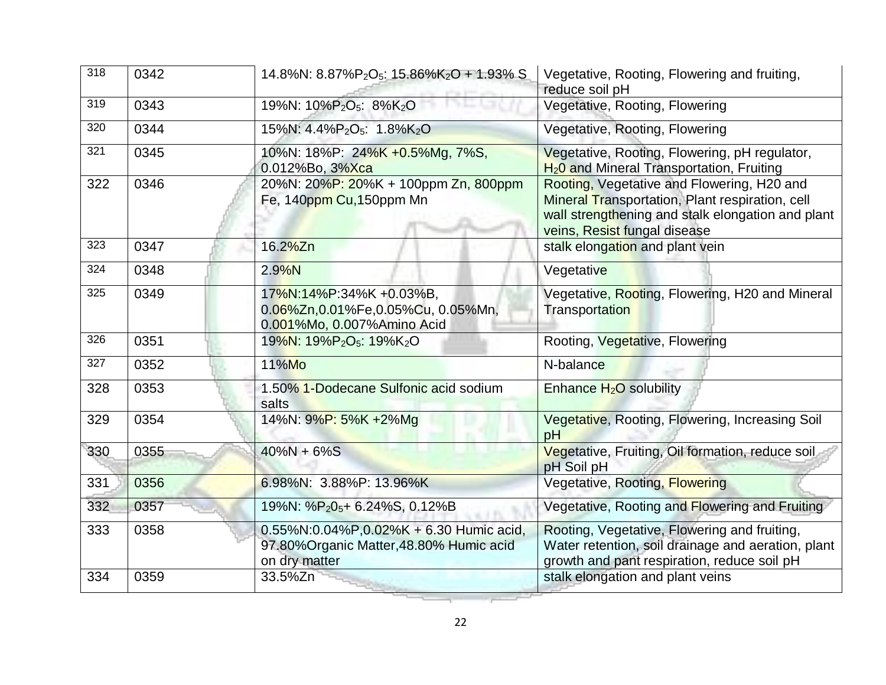| 318              | 0342 | 14.8%N: 8.87%P <sub>2</sub> O <sub>5</sub> : 15.86%K <sub>2</sub> O + 1.93% S                            | Vegetative, Rooting, Flowering and fruiting,<br>reduce soil pH                                                                                                                     |
|------------------|------|----------------------------------------------------------------------------------------------------------|------------------------------------------------------------------------------------------------------------------------------------------------------------------------------------|
| 319              | 0343 | 19%N: 10%P <sub>2</sub> O <sub>5</sub> : 8%K <sub>2</sub> O                                              | Vegetative, Rooting, Flowering                                                                                                                                                     |
| 320              | 0344 | 15%N: 4.4%P <sub>2</sub> O <sub>5</sub> : 1.8%K <sub>2</sub> O                                           | Vegetative, Rooting, Flowering                                                                                                                                                     |
| 321              | 0345 | 10%N: 18%P: 24%K +0.5%Mg, 7%S,<br>0.012%Bo, 3%Xca                                                        | Vegetative, Rooting, Flowering, pH regulator,<br>H <sub>2</sub> 0 and Mineral Transportation, Fruiting                                                                             |
| 322              | 0346 | 20%N: 20%P: 20%K + 100ppm Zn, 800ppm<br>Fe, 140ppm Cu, 150ppm Mn                                         | Rooting, Vegetative and Flowering, H20 and<br>Mineral Transportation, Plant respiration, cell<br>wall strengthening and stalk elongation and plant<br>veins, Resist fungal disease |
| 323              | 0347 | 16.2%Zn                                                                                                  | stalk elongation and plant vein                                                                                                                                                    |
| 324              | 0348 | 2.9%N                                                                                                    | Vegetative                                                                                                                                                                         |
| 325              | 0349 | 17%N:14%P:34%K +0.03%B,<br>0.06%Zn,0.01%Fe,0.05%Cu, 0.05%Mn,<br>0.001%Mo, 0.007%Amino Acid               | Vegetative, Rooting, Flowering, H20 and Mineral<br><b>Transportation</b>                                                                                                           |
| 326              | 0351 | 19%N: 19%P <sub>2</sub> O <sub>5</sub> : 19%K <sub>2</sub> O                                             | Rooting, Vegetative, Flowering                                                                                                                                                     |
| $\overline{327}$ | 0352 | 11%Mo                                                                                                    | N-balance                                                                                                                                                                          |
| 328              | 0353 | 1.50% 1-Dodecane Sulfonic acid sodium<br>salts                                                           | Enhance H <sub>2</sub> O solubility                                                                                                                                                |
| 329              | 0354 | 14%N: 9%P: 5%K +2%Mg                                                                                     | Vegetative, Rooting, Flowering, Increasing Soil<br>pH                                                                                                                              |
| 330              | 0355 | $40\%N + 6\%S$                                                                                           | Vegetative, Fruiting, Oil formation, reduce soil<br>pH Soil pH                                                                                                                     |
| 331              | 0356 | 6.98%N: 3.88%P: 13.96%K                                                                                  | Vegetative, Rooting, Flowering                                                                                                                                                     |
| 332              | 0357 | 19%N: %P <sub>2</sub> 0 <sub>5</sub> + 6.24%S, 0.12%B                                                    | Vegetative, Rooting and Flowering and Fruiting                                                                                                                                     |
| 333              | 0358 | $0.55\%$ N:0.04%P,0.02%K + 6.30 Humic acid,<br>97.80% Organic Matter, 48.80% Humic acid<br>on dry matter | Rooting, Vegetative, Flowering and fruiting,<br>Water retention, soil drainage and aeration, plant<br>growth and pant respiration, reduce soil pH                                  |
| 334              | 0359 | 33.5%Zn                                                                                                  | stalk elongation and plant veins                                                                                                                                                   |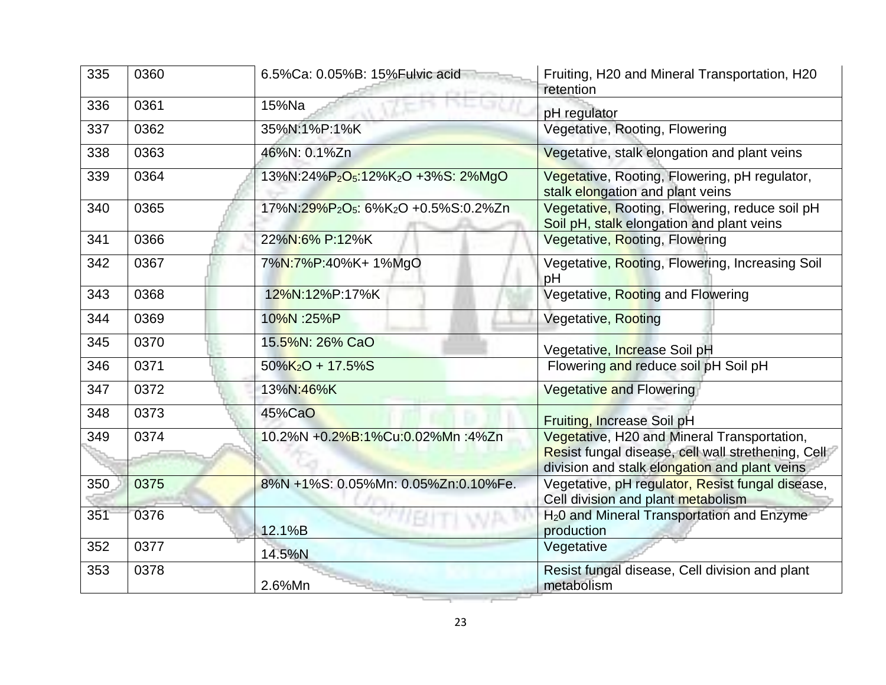| 335 | 0360 | 6.5%Ca: 0.05%B: 15%Fulvic acid                                           | Fruiting, H20 and Mineral Transportation, H20<br>retention                                                                                         |
|-----|------|--------------------------------------------------------------------------|----------------------------------------------------------------------------------------------------------------------------------------------------|
| 336 | 0361 | 15%Na                                                                    | pH regulator                                                                                                                                       |
| 337 | 0362 | 35%N:1%P:1%K                                                             | Vegetative, Rooting, Flowering                                                                                                                     |
| 338 | 0363 | 46%N: 0.1%Zn                                                             | Vegetative, stalk elongation and plant veins                                                                                                       |
| 339 | 0364 | 13%N:24%P <sub>2</sub> O <sub>5</sub> :12%K <sub>2</sub> O +3%S: 2%MgO   | Vegetative, Rooting, Flowering, pH regulator,<br>stalk elongation and plant veins                                                                  |
| 340 | 0365 | 17%N:29%P <sub>2</sub> O <sub>5</sub> : 6%K <sub>2</sub> O +0.5%S:0.2%Zn | Vegetative, Rooting, Flowering, reduce soil pH<br>Soil pH, stalk elongation and plant veins                                                        |
| 341 | 0366 | 22%N:6% P:12%K                                                           | Vegetative, Rooting, Flowering                                                                                                                     |
| 342 | 0367 | 7%N:7%P:40%K+1%MgO                                                       | Vegetative, Rooting, Flowering, Increasing Soil<br>pH                                                                                              |
| 343 | 0368 | 12%N:12%P:17%K                                                           | Vegetative, Rooting and Flowering                                                                                                                  |
| 344 | 0369 | 10%N :25%P                                                               | Vegetative, Rooting                                                                                                                                |
| 345 | 0370 | 15.5%N: 26% CaO                                                          | Vegetative, Increase Soil pH                                                                                                                       |
| 346 | 0371 | $50\%K_2O + 17.5\%S$                                                     | Flowering and reduce soil pH Soil pH                                                                                                               |
| 347 | 0372 | 13%N:46%K                                                                | Vegetative and Flowering                                                                                                                           |
| 348 | 0373 | 45%CaO                                                                   | Fruiting, Increase Soil pH                                                                                                                         |
| 349 | 0374 | 10.2%N +0.2%B:1%Cu:0.02%Mn :4%Zn                                         | Vegetative, H20 and Mineral Transportation,<br>Resist fungal disease, cell wall strethening, Cell<br>division and stalk elongation and plant veins |
| 350 | 0375 | 8%N +1%S: 0.05%Mn: 0.05%Zn:0.10%Fe.                                      | Vegetative, pH regulator, Resist fungal disease,<br>Cell division and plant metabolism                                                             |
| 351 | 0376 | 12.1%B                                                                   | H <sub>2</sub> 0 and Mineral Transportation and Enzyme<br>production                                                                               |
| 352 | 0377 | 14.5%N                                                                   | Vegetative                                                                                                                                         |
| 353 | 0378 | 2.6%Mn                                                                   | Resist fungal disease, Cell division and plant<br>metabolism                                                                                       |